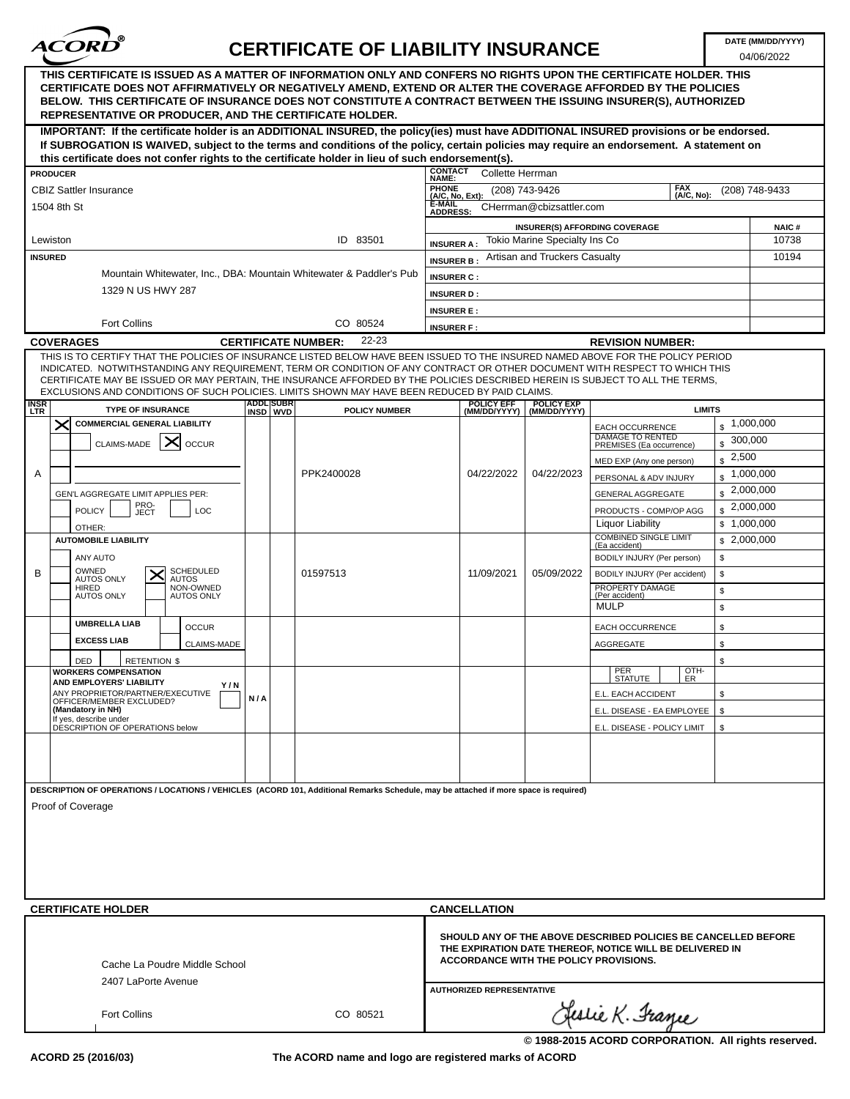

04/06/2022

| THIS CERTIFICATE IS ISSUED AS A MATTER OF INFORMATION ONLY AND CONFERS NO RIGHTS UPON THE CERTIFICATE HOLDER. THIS<br>CERTIFICATE DOES NOT AFFIRMATIVELY OR NEGATIVELY AMEND, EXTEND OR ALTER THE COVERAGE AFFORDED BY THE POLICIES<br>BELOW. THIS CERTIFICATE OF INSURANCE DOES NOT CONSTITUTE A CONTRACT BETWEEN THE ISSUING INSURER(S), AUTHORIZED<br><b>REPRESENTATIVE OR PRODUCER, AND THE CERTIFICATE HOLDER.</b>                                                                                           |                  |                                     |                                  |                                  |                                      |                                                                                                                                                                             |                |
|-------------------------------------------------------------------------------------------------------------------------------------------------------------------------------------------------------------------------------------------------------------------------------------------------------------------------------------------------------------------------------------------------------------------------------------------------------------------------------------------------------------------|------------------|-------------------------------------|----------------------------------|----------------------------------|--------------------------------------|-----------------------------------------------------------------------------------------------------------------------------------------------------------------------------|----------------|
| IMPORTANT: If the certificate holder is an ADDITIONAL INSURED, the policy(ies) must have ADDITIONAL INSURED provisions or be endorsed.<br>If SUBROGATION IS WAIVED, subject to the terms and conditions of the policy, certain policies may require an endorsement. A statement on                                                                                                                                                                                                                                |                  |                                     |                                  |                                  |                                      |                                                                                                                                                                             |                |
| this certificate does not confer rights to the certificate holder in lieu of such endorsement(s).                                                                                                                                                                                                                                                                                                                                                                                                                 |                  |                                     | <b>CONTACT</b>                   |                                  |                                      |                                                                                                                                                                             |                |
| <b>PRODUCER</b>                                                                                                                                                                                                                                                                                                                                                                                                                                                                                                   |                  |                                     | <b>NAME:</b><br><b>PHONE</b>     | Collette Herrman                 |                                      | <b>FAX</b>                                                                                                                                                                  |                |
| <b>CBIZ Sattler Insurance</b>                                                                                                                                                                                                                                                                                                                                                                                                                                                                                     |                  |                                     | (A/C, No, Ext):<br><b>E-MAIL</b> | (208) 743-9426                   |                                      | (A/C, No):                                                                                                                                                                  | (208) 748-9433 |
| 1504 8th St                                                                                                                                                                                                                                                                                                                                                                                                                                                                                                       |                  |                                     | <b>ADDRESS:</b>                  |                                  | CHerrman@cbizsattler.com             |                                                                                                                                                                             |                |
|                                                                                                                                                                                                                                                                                                                                                                                                                                                                                                                   |                  |                                     |                                  |                                  |                                      | <b>INSURER(S) AFFORDING COVERAGE</b>                                                                                                                                        | <b>NAIC#</b>   |
| Lewiston                                                                                                                                                                                                                                                                                                                                                                                                                                                                                                          |                  | ID 83501                            | <b>INSURER A:</b>                |                                  | <b>Tokio Marine Specialty Ins Co</b> |                                                                                                                                                                             | 10738          |
| <b>INSURED</b>                                                                                                                                                                                                                                                                                                                                                                                                                                                                                                    |                  |                                     | <b>INSURER B:</b>                |                                  | Artisan and Truckers Casualty        |                                                                                                                                                                             | 10194          |
| Mountain Whitewater, Inc., DBA: Mountain Whitewater & Paddler's Pub                                                                                                                                                                                                                                                                                                                                                                                                                                               |                  |                                     | <b>INSURER C:</b>                |                                  |                                      |                                                                                                                                                                             |                |
| 1329 N US HWY 287                                                                                                                                                                                                                                                                                                                                                                                                                                                                                                 |                  |                                     | <b>INSURER D:</b>                |                                  |                                      |                                                                                                                                                                             |                |
|                                                                                                                                                                                                                                                                                                                                                                                                                                                                                                                   |                  |                                     | <b>INSURER E:</b>                |                                  |                                      |                                                                                                                                                                             |                |
| <b>Fort Collins</b>                                                                                                                                                                                                                                                                                                                                                                                                                                                                                               |                  | CO 80524                            | <b>INSURER F:</b>                |                                  |                                      |                                                                                                                                                                             |                |
| <b>COVERAGES</b>                                                                                                                                                                                                                                                                                                                                                                                                                                                                                                  |                  | 22-23<br><b>CERTIFICATE NUMBER:</b> |                                  |                                  |                                      | <b>REVISION NUMBER:</b>                                                                                                                                                     |                |
| THIS IS TO CERTIFY THAT THE POLICIES OF INSURANCE LISTED BELOW HAVE BEEN ISSUED TO THE INSURED NAMED ABOVE FOR THE POLICY PERIOD<br>INDICATED. NOTWITHSTANDING ANY REQUIREMENT, TERM OR CONDITION OF ANY CONTRACT OR OTHER DOCUMENT WITH RESPECT TO WHICH THIS<br>CERTIFICATE MAY BE ISSUED OR MAY PERTAIN, THE INSURANCE AFFORDED BY THE POLICIES DESCRIBED HEREIN IS SUBJECT TO ALL THE TERMS.<br>EXCLUSIONS AND CONDITIONS OF SUCH POLICIES. LIMITS SHOWN MAY HAVE BEEN REDUCED BY PAID CLAIMS.<br><b>INSR</b> | <b>ADDL SUBR</b> |                                     |                                  | <b>POLICY EFF</b>                | <b>POLICY EXP</b>                    |                                                                                                                                                                             |                |
| <b>TYPE OF INSURANCE</b><br>LTR                                                                                                                                                                                                                                                                                                                                                                                                                                                                                   | INSD WVD         | <b>POLICY NUMBER</b>                |                                  | (MM/DD/YYYY)                     | (MM/DD/YYYY)                         | <b>LIMITS</b>                                                                                                                                                               |                |
| $\times$<br><b>COMMERCIAL GENERAL LIABILITY</b>                                                                                                                                                                                                                                                                                                                                                                                                                                                                   |                  |                                     |                                  |                                  |                                      | $\frac{1,000,000}{2}$<br><b>EACH OCCURRENCE</b><br>DAMAGE TO RENTED                                                                                                         |                |
| ╳<br>CLAIMS-MADE<br><b>OCCUR</b>                                                                                                                                                                                                                                                                                                                                                                                                                                                                                  |                  |                                     |                                  |                                  |                                      | \$<br>PREMISES (Ea occurrence)                                                                                                                                              | 300,000        |
|                                                                                                                                                                                                                                                                                                                                                                                                                                                                                                                   |                  |                                     |                                  |                                  |                                      | 2,500<br>\$<br>MED EXP (Any one person)                                                                                                                                     |                |
| Α                                                                                                                                                                                                                                                                                                                                                                                                                                                                                                                 |                  | PPK2400028                          |                                  | 04/22/2022                       | 04/22/2023                           | \$<br>PERSONAL & ADV INJURY                                                                                                                                                 | 1,000,000      |
| GEN'L AGGREGATE LIMIT APPLIES PER:                                                                                                                                                                                                                                                                                                                                                                                                                                                                                |                  |                                     |                                  |                                  |                                      | \$<br>GENERAL AGGREGATE                                                                                                                                                     | 2,000,000      |
| PRO-<br><b>POLICY</b><br>LOC<br>JECT                                                                                                                                                                                                                                                                                                                                                                                                                                                                              |                  |                                     |                                  |                                  |                                      | $\frac{1}{2}$ ,000,000<br>PRODUCTS - COMP/OP AGG                                                                                                                            |                |
| OTHER:                                                                                                                                                                                                                                                                                                                                                                                                                                                                                                            |                  |                                     |                                  |                                  |                                      | Liquor Liability<br>\$1,000,000                                                                                                                                             |                |
| <b>AUTOMOBILE LIABILITY</b>                                                                                                                                                                                                                                                                                                                                                                                                                                                                                       |                  |                                     |                                  |                                  |                                      | <b>COMBINED SINGLE LIMIT</b><br>\$2,000,000                                                                                                                                 |                |
| ANY AUTO                                                                                                                                                                                                                                                                                                                                                                                                                                                                                                          |                  |                                     |                                  |                                  |                                      | (Ea accident)<br>\$<br>BODILY INJURY (Per person)                                                                                                                           |                |
| OWNED<br><b>SCHEDULED</b><br>B                                                                                                                                                                                                                                                                                                                                                                                                                                                                                    |                  | 01597513                            |                                  | 11/09/2021                       | 05/09/2022                           | \$<br>BODILY INJURY (Per accident)                                                                                                                                          |                |
| <b>AUTOS ONLY</b><br><b>AUTOS</b><br>NON-OWNED<br><b>HIRED</b>                                                                                                                                                                                                                                                                                                                                                                                                                                                    |                  |                                     |                                  |                                  |                                      | PROPERTY DAMAGE<br>\$                                                                                                                                                       |                |
| <b>AUTOS ONLY</b><br><b>AUTOS ONLY</b>                                                                                                                                                                                                                                                                                                                                                                                                                                                                            |                  |                                     |                                  |                                  |                                      | (Per accident)<br><b>MULP</b>                                                                                                                                               |                |
|                                                                                                                                                                                                                                                                                                                                                                                                                                                                                                                   |                  |                                     |                                  |                                  |                                      | \$                                                                                                                                                                          |                |
| <b>UMBRELLA LIAB</b><br><b>OCCUR</b>                                                                                                                                                                                                                                                                                                                                                                                                                                                                              |                  |                                     |                                  |                                  |                                      | EACH OCCURRENCE<br>\$                                                                                                                                                       |                |
| <b>EXCESS LIAB</b><br>CLAIMS-MADE                                                                                                                                                                                                                                                                                                                                                                                                                                                                                 |                  |                                     |                                  |                                  |                                      | AGGREGATE<br>\$                                                                                                                                                             |                |
| DED<br><b>RETENTION \$</b>                                                                                                                                                                                                                                                                                                                                                                                                                                                                                        |                  |                                     |                                  |                                  |                                      | \$                                                                                                                                                                          |                |
| <b>WORKERS COMPENSATION</b><br><b>AND EMPLOYERS' LIABILITY</b>                                                                                                                                                                                                                                                                                                                                                                                                                                                    |                  |                                     |                                  |                                  |                                      | OTH-<br>PER<br>STATUTE<br>ER                                                                                                                                                |                |
| Y / N<br>ANY PROPRIETOR/PARTNER/EXECUTIVE                                                                                                                                                                                                                                                                                                                                                                                                                                                                         | N/A              |                                     |                                  |                                  |                                      | E.L. EACH ACCIDENT<br>\$                                                                                                                                                    |                |
| OFFICER/MEMBER EXCLUDED?<br>(Mandatory in NH)                                                                                                                                                                                                                                                                                                                                                                                                                                                                     |                  |                                     |                                  |                                  |                                      | \$<br>E.L. DISEASE - EA EMPLOYEE                                                                                                                                            |                |
| If yes, describe under<br>DESCRIPTION OF OPERATIONS below                                                                                                                                                                                                                                                                                                                                                                                                                                                         |                  |                                     |                                  |                                  |                                      | E.L. DISEASE - POLICY LIMIT<br>\$                                                                                                                                           |                |
|                                                                                                                                                                                                                                                                                                                                                                                                                                                                                                                   |                  |                                     |                                  |                                  |                                      |                                                                                                                                                                             |                |
|                                                                                                                                                                                                                                                                                                                                                                                                                                                                                                                   |                  |                                     |                                  |                                  |                                      |                                                                                                                                                                             |                |
|                                                                                                                                                                                                                                                                                                                                                                                                                                                                                                                   |                  |                                     |                                  |                                  |                                      |                                                                                                                                                                             |                |
| DESCRIPTION OF OPERATIONS / LOCATIONS / VEHICLES (ACORD 101, Additional Remarks Schedule, may be attached if more space is required)                                                                                                                                                                                                                                                                                                                                                                              |                  |                                     |                                  |                                  |                                      |                                                                                                                                                                             |                |
| Proof of Coverage                                                                                                                                                                                                                                                                                                                                                                                                                                                                                                 |                  |                                     |                                  |                                  |                                      |                                                                                                                                                                             |                |
|                                                                                                                                                                                                                                                                                                                                                                                                                                                                                                                   |                  |                                     |                                  |                                  |                                      |                                                                                                                                                                             |                |
|                                                                                                                                                                                                                                                                                                                                                                                                                                                                                                                   |                  |                                     |                                  |                                  |                                      |                                                                                                                                                                             |                |
|                                                                                                                                                                                                                                                                                                                                                                                                                                                                                                                   |                  |                                     |                                  |                                  |                                      |                                                                                                                                                                             |                |
|                                                                                                                                                                                                                                                                                                                                                                                                                                                                                                                   |                  |                                     |                                  |                                  |                                      |                                                                                                                                                                             |                |
|                                                                                                                                                                                                                                                                                                                                                                                                                                                                                                                   |                  |                                     |                                  |                                  |                                      |                                                                                                                                                                             |                |
|                                                                                                                                                                                                                                                                                                                                                                                                                                                                                                                   |                  |                                     |                                  |                                  |                                      |                                                                                                                                                                             |                |
| <b>CERTIFICATE HOLDER</b>                                                                                                                                                                                                                                                                                                                                                                                                                                                                                         |                  |                                     |                                  | <b>CANCELLATION</b>              |                                      |                                                                                                                                                                             |                |
| Cache La Poudre Middle School<br>2407 LaPorte Avenue                                                                                                                                                                                                                                                                                                                                                                                                                                                              |                  |                                     |                                  |                                  |                                      | SHOULD ANY OF THE ABOVE DESCRIBED POLICIES BE CANCELLED BEFORE<br>THE EXPIRATION DATE THEREOF, NOTICE WILL BE DELIVERED IN<br><b>ACCORDANCE WITH THE POLICY PROVISIONS.</b> |                |
|                                                                                                                                                                                                                                                                                                                                                                                                                                                                                                                   |                  |                                     |                                  | <b>AUTHORIZED REPRESENTATIVE</b> |                                      |                                                                                                                                                                             |                |
| <b>Fort Collins</b>                                                                                                                                                                                                                                                                                                                                                                                                                                                                                               |                  | CO 80521                            |                                  |                                  |                                      | Clestie K. France                                                                                                                                                           |                |

**The ACORD name and logo are registered marks of ACORD**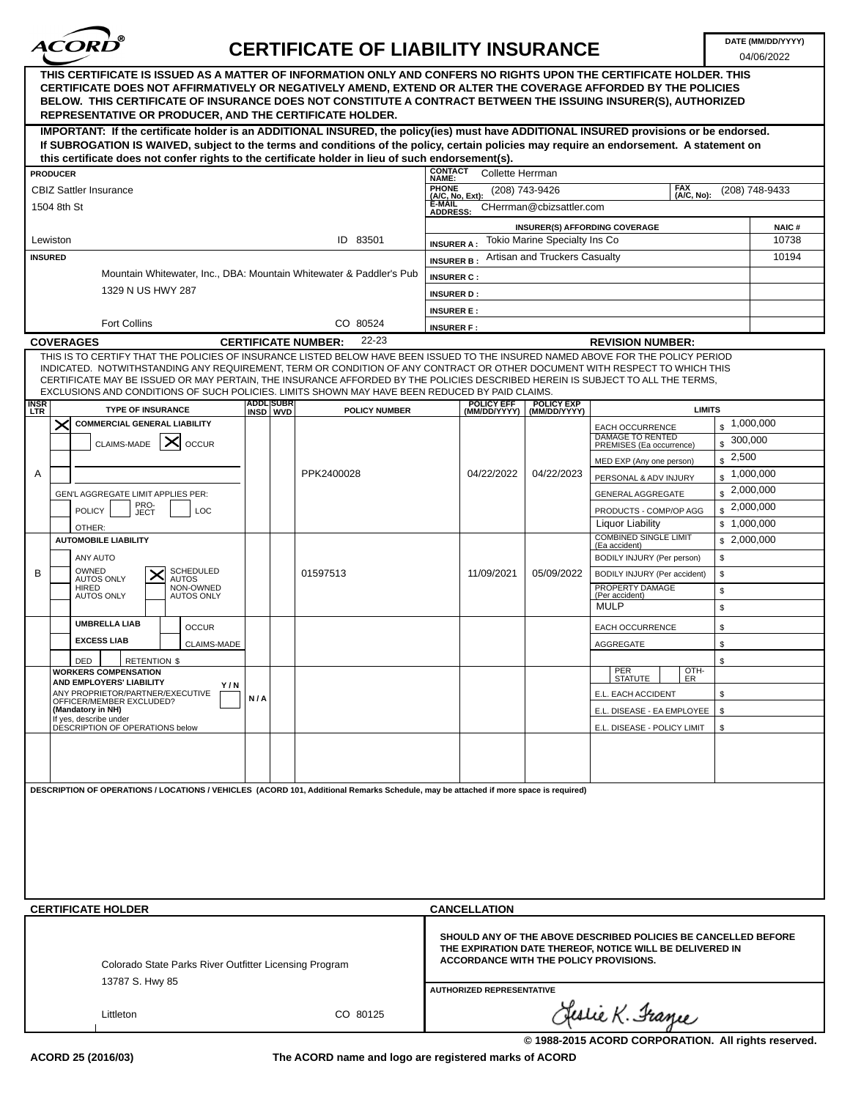

04/06/2022

|                           | THIS CERTIFICATE IS ISSUED AS A MATTER OF INFORMATION ONLY AND CONFERS NO RIGHTS UPON THE CERTIFICATE HOLDER. THIS<br>CERTIFICATE DOES NOT AFFIRMATIVELY OR NEGATIVELY AMEND, EXTEND OR ALTER THE COVERAGE AFFORDED BY THE POLICIES<br>BELOW. THIS CERTIFICATE OF INSURANCE DOES NOT CONSTITUTE A CONTRACT BETWEEN THE ISSUING INSURER(S), AUTHORIZED<br><b>REPRESENTATIVE OR PRODUCER, AND THE CERTIFICATE HOLDER.</b>                                                                            |                            |                              |                      |                                                                                        |                                   |                                                                       |                                                                                                                                                                      |                            |                |
|---------------------------|----------------------------------------------------------------------------------------------------------------------------------------------------------------------------------------------------------------------------------------------------------------------------------------------------------------------------------------------------------------------------------------------------------------------------------------------------------------------------------------------------|----------------------------|------------------------------|----------------------|----------------------------------------------------------------------------------------|-----------------------------------|-----------------------------------------------------------------------|----------------------------------------------------------------------------------------------------------------------------------------------------------------------|----------------------------|----------------|
|                           | IMPORTANT: If the certificate holder is an ADDITIONAL INSURED, the policy(ies) must have ADDITIONAL INSURED provisions or be endorsed.<br>If SUBROGATION IS WAIVED, subject to the terms and conditions of the policy, certain policies may require an endorsement. A statement on                                                                                                                                                                                                                 |                            |                              |                      |                                                                                        |                                   |                                                                       |                                                                                                                                                                      |                            |                |
|                           | this certificate does not confer rights to the certificate holder in lieu of such endorsement(s).                                                                                                                                                                                                                                                                                                                                                                                                  |                            |                              |                      |                                                                                        |                                   |                                                                       |                                                                                                                                                                      |                            |                |
|                           | <b>PRODUCER</b>                                                                                                                                                                                                                                                                                                                                                                                                                                                                                    |                            |                              |                      | <b>CONTACT</b><br><b>NAME:</b>                                                         | <b>Collette Herrman</b>           |                                                                       |                                                                                                                                                                      |                            |                |
|                           | <b>CBIZ Sattler Insurance</b>                                                                                                                                                                                                                                                                                                                                                                                                                                                                      |                            |                              |                      | <b>PHONE</b>                                                                           |                                   | (208) 743-9426                                                        |                                                                                                                                                                      | <b>FAX</b>                 | (208) 748-9433 |
|                           | 1504 8th St                                                                                                                                                                                                                                                                                                                                                                                                                                                                                        |                            |                              |                      | (A/C, No):<br>(A/C, No, Ext):<br>E-MAIL<br>CHerrman@cbizsattler.com<br><b>ADDRESS:</b> |                                   |                                                                       |                                                                                                                                                                      |                            |                |
|                           |                                                                                                                                                                                                                                                                                                                                                                                                                                                                                                    |                            |                              |                      |                                                                                        |                                   |                                                                       | <b>INSURER(S) AFFORDING COVERAGE</b>                                                                                                                                 |                            | <b>NAIC#</b>   |
| <b>INSURED</b>            | Lewiston                                                                                                                                                                                                                                                                                                                                                                                                                                                                                           |                            |                              | ID 83501             | <b>INSURER A:</b><br><b>INSURER B:</b>                                                 |                                   | <b>Tokio Marine Specialty Ins Co</b><br>Artisan and Truckers Casualty |                                                                                                                                                                      |                            | 10738<br>10194 |
|                           | Mountain Whitewater, Inc., DBA: Mountain Whitewater & Paddler's Pub                                                                                                                                                                                                                                                                                                                                                                                                                                |                            |                              |                      | <b>INSURER C:</b>                                                                      |                                   |                                                                       |                                                                                                                                                                      |                            |                |
|                           | 1329 N US HWY 287                                                                                                                                                                                                                                                                                                                                                                                                                                                                                  |                            |                              |                      | <b>INSURER D:</b>                                                                      |                                   |                                                                       |                                                                                                                                                                      |                            |                |
|                           |                                                                                                                                                                                                                                                                                                                                                                                                                                                                                                    |                            |                              |                      | <b>INSURER E:</b>                                                                      |                                   |                                                                       |                                                                                                                                                                      |                            |                |
|                           | <b>Fort Collins</b>                                                                                                                                                                                                                                                                                                                                                                                                                                                                                |                            |                              | CO 80524<br>22-23    | <b>INSURER F:</b>                                                                      |                                   |                                                                       |                                                                                                                                                                      |                            |                |
|                           | <b>COVERAGES</b>                                                                                                                                                                                                                                                                                                                                                                                                                                                                                   | <b>CERTIFICATE NUMBER:</b> |                              |                      |                                                                                        | <b>REVISION NUMBER:</b>           |                                                                       |                                                                                                                                                                      |                            |                |
|                           | THIS IS TO CERTIFY THAT THE POLICIES OF INSURANCE LISTED BELOW HAVE BEEN ISSUED TO THE INSURED NAMED ABOVE FOR THE POLICY PERIOD<br>INDICATED. NOTWITHSTANDING ANY REQUIREMENT, TERM OR CONDITION OF ANY CONTRACT OR OTHER DOCUMENT WITH RESPECT TO WHICH THIS<br>CERTIFICATE MAY BE ISSUED OR MAY PERTAIN, THE INSURANCE AFFORDED BY THE POLICIES DESCRIBED HEREIN IS SUBJECT TO ALL THE TERMS,<br>EXCLUSIONS AND CONDITIONS OF SUCH POLICIES. LIMITS SHOWN MAY HAVE BEEN REDUCED BY PAID CLAIMS. |                            |                              |                      |                                                                                        |                                   |                                                                       |                                                                                                                                                                      |                            |                |
| <b>INSR</b><br><b>LTR</b> | <b>TYPE OF INSURANCE</b>                                                                                                                                                                                                                                                                                                                                                                                                                                                                           |                            | <b>ADDL SUBR</b><br>INSD WVD | <b>POLICY NUMBER</b> |                                                                                        | <b>POLICY EFF</b><br>(MM/DD/YYYY) | <b>POLICY EXP</b><br>(MM/DD/YYYY)                                     |                                                                                                                                                                      | <b>LIMITS</b>              |                |
|                           | $\bm{\times}$<br><b>COMMERCIAL GENERAL LIABILITY</b>                                                                                                                                                                                                                                                                                                                                                                                                                                               |                            |                              |                      |                                                                                        |                                   |                                                                       | EACH OCCURRENCE<br>DAMAGE TO RENTED                                                                                                                                  | $\frac{1}{2}$ ,000,000     | 300,000        |
|                           | $\times$<br><b>CLAIMS-MADE</b><br><b>OCCUR</b>                                                                                                                                                                                                                                                                                                                                                                                                                                                     |                            |                              |                      |                                                                                        |                                   |                                                                       | PREMISES (Ea occurrence)<br>MED EXP (Any one person)                                                                                                                 | \$<br>2,500<br>\$          |                |
| Α                         |                                                                                                                                                                                                                                                                                                                                                                                                                                                                                                    |                            |                              | PPK2400028           |                                                                                        | 04/22/2022                        | 04/22/2023                                                            | PERSONAL & ADV INJURY                                                                                                                                                | \$                         | 1,000,000      |
|                           | GEN'L AGGREGATE LIMIT APPLIES PER:                                                                                                                                                                                                                                                                                                                                                                                                                                                                 |                            |                              |                      |                                                                                        |                                   |                                                                       | GENERAL AGGREGATE                                                                                                                                                    | \$                         | 2,000,000      |
|                           | PRO-<br><b>POLICY</b><br>LOC<br>JECT                                                                                                                                                                                                                                                                                                                                                                                                                                                               |                            |                              |                      |                                                                                        |                                   |                                                                       | PRODUCTS - COMP/OP AGG                                                                                                                                               | $\frac{1}{2}$ ,000,000     |                |
|                           | OTHER:                                                                                                                                                                                                                                                                                                                                                                                                                                                                                             |                            |                              |                      |                                                                                        |                                   |                                                                       | <b>Liquor Liability</b><br><b>COMBINED SINGLE LIMIT</b>                                                                                                              | \$1,000,000<br>\$2,000,000 |                |
|                           | <b>AUTOMOBILE LIABILITY</b><br>ANY AUTO                                                                                                                                                                                                                                                                                                                                                                                                                                                            |                            |                              |                      |                                                                                        |                                   |                                                                       | (Ea accident)<br>BODILY INJURY (Per person)                                                                                                                          | \$                         |                |
| B                         | OWNED<br><b>SCHEDULED</b><br>↗                                                                                                                                                                                                                                                                                                                                                                                                                                                                     |                            |                              | 01597513             |                                                                                        | 11/09/2021                        | 05/09/2022                                                            | BODILY INJURY (Per accident)                                                                                                                                         | \$                         |                |
|                           | <b>AUTOS ONLY</b><br><b>AUTOS</b><br><b>HIRED</b><br>NON-OWNED<br><b>AUTOS ONLY</b><br><b>AUTOS ONLY</b>                                                                                                                                                                                                                                                                                                                                                                                           |                            |                              |                      |                                                                                        |                                   |                                                                       | PROPERTY DAMAGE<br>(Per accident)                                                                                                                                    | \$                         |                |
|                           |                                                                                                                                                                                                                                                                                                                                                                                                                                                                                                    |                            |                              |                      |                                                                                        |                                   |                                                                       | <b>MULP</b>                                                                                                                                                          | \$                         |                |
|                           | <b>UMBRELLA LIAB</b><br><b>OCCUR</b>                                                                                                                                                                                                                                                                                                                                                                                                                                                               |                            |                              |                      |                                                                                        |                                   |                                                                       | EACH OCCURRENCE                                                                                                                                                      | \$                         |                |
|                           | <b>EXCESS LIAB</b><br>CLAIMS-MADE                                                                                                                                                                                                                                                                                                                                                                                                                                                                  |                            |                              |                      |                                                                                        |                                   |                                                                       | AGGREGATE                                                                                                                                                            | \$                         |                |
|                           | DED<br><b>RETENTION \$</b><br><b>WORKERS COMPENSATION</b>                                                                                                                                                                                                                                                                                                                                                                                                                                          |                            |                              |                      |                                                                                        |                                   |                                                                       | PER                                                                                                                                                                  | \$<br>OTH-                 |                |
|                           | <b>AND EMPLOYERS' LIABILITY</b><br>Y/N                                                                                                                                                                                                                                                                                                                                                                                                                                                             |                            |                              |                      |                                                                                        |                                   |                                                                       | <b>STATUTE</b>                                                                                                                                                       | ER                         |                |
|                           | ANY PROPRIETOR/PARTNER/EXECUTIVE<br>OFFICER/MEMBER EXCLUDED?<br>(Mandatory in NH)                                                                                                                                                                                                                                                                                                                                                                                                                  | N/A                        |                              |                      |                                                                                        |                                   |                                                                       | E.L. EACH ACCIDENT                                                                                                                                                   | \$                         |                |
|                           | If yes, describe under<br>DESCRIPTION OF OPERATIONS below                                                                                                                                                                                                                                                                                                                                                                                                                                          |                            |                              |                      |                                                                                        |                                   |                                                                       | E.L. DISEASE - EA EMPLOYEE<br>E.L. DISEASE - POLICY LIMIT                                                                                                            | \$<br>\$                   |                |
|                           |                                                                                                                                                                                                                                                                                                                                                                                                                                                                                                    |                            |                              |                      |                                                                                        |                                   |                                                                       |                                                                                                                                                                      |                            |                |
|                           |                                                                                                                                                                                                                                                                                                                                                                                                                                                                                                    |                            |                              |                      |                                                                                        |                                   |                                                                       |                                                                                                                                                                      |                            |                |
|                           | DESCRIPTION OF OPERATIONS / LOCATIONS / VEHICLES (ACORD 101, Additional Remarks Schedule, may be attached if more space is required)                                                                                                                                                                                                                                                                                                                                                               |                            |                              |                      |                                                                                        |                                   |                                                                       |                                                                                                                                                                      |                            |                |
|                           | <b>CERTIFICATE HOLDER</b>                                                                                                                                                                                                                                                                                                                                                                                                                                                                          |                            |                              |                      |                                                                                        | <b>CANCELLATION</b>               |                                                                       |                                                                                                                                                                      |                            |                |
|                           | Colorado State Parks River Outfitter Licensing Program<br>13787 S. Hwy 85                                                                                                                                                                                                                                                                                                                                                                                                                          |                            |                              |                      |                                                                                        | <b>AUTHORIZED REPRESENTATIVE</b>  |                                                                       | SHOULD ANY OF THE ABOVE DESCRIBED POLICIES BE CANCELLED BEFORE<br>THE EXPIRATION DATE THEREOF, NOTICE WILL BE DELIVERED IN<br>ACCORDANCE WITH THE POLICY PROVISIONS. |                            |                |
|                           | Littleton                                                                                                                                                                                                                                                                                                                                                                                                                                                                                          |                            |                              | CO 80125             |                                                                                        |                                   |                                                                       | Geslie K. France                                                                                                                                                     |                            |                |

**The ACORD name and logo are registered marks of ACORD**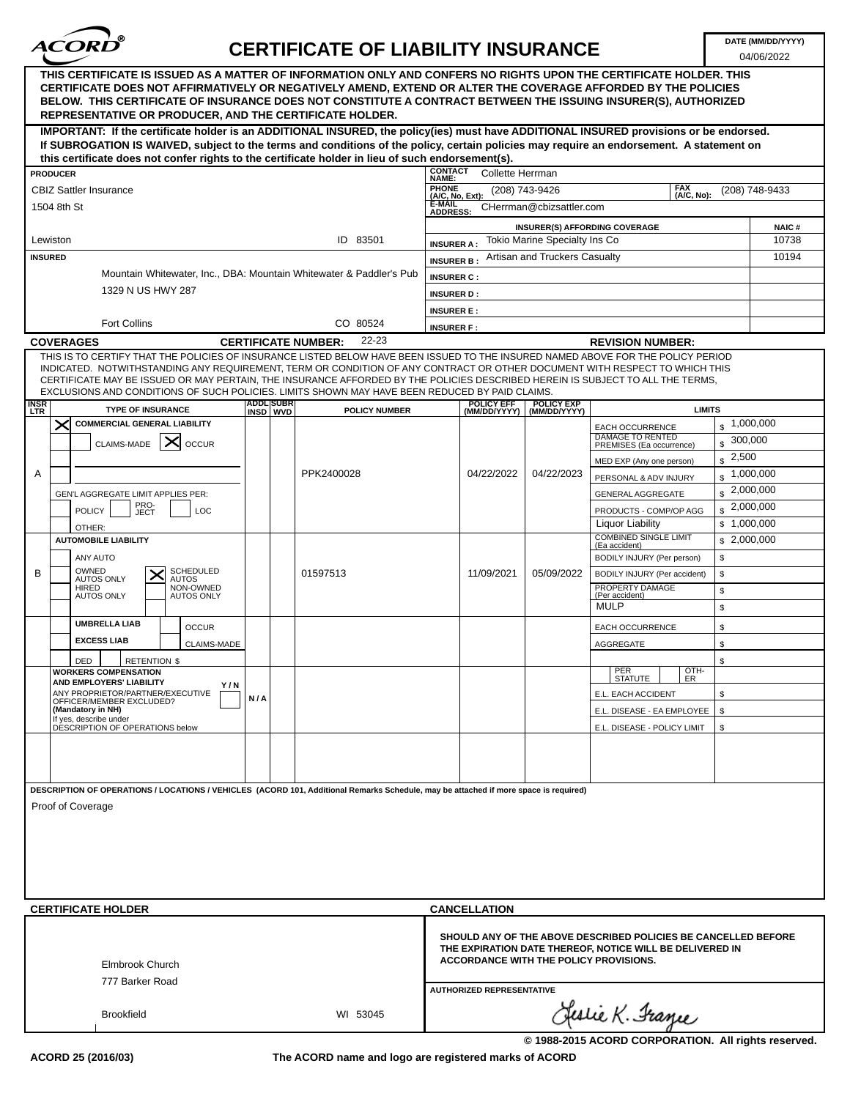

04/06/2022

| THIS CERTIFICATE IS ISSUED AS A MATTER OF INFORMATION ONLY AND CONFERS NO RIGHTS UPON THE CERTIFICATE HOLDER. THIS<br>CERTIFICATE DOES NOT AFFIRMATIVELY OR NEGATIVELY AMEND, EXTEND OR ALTER THE COVERAGE AFFORDED BY THE POLICIES<br>BELOW. THIS CERTIFICATE OF INSURANCE DOES NOT CONSTITUTE A CONTRACT BETWEEN THE ISSUING INSURER(S), AUTHORIZED<br><b>REPRESENTATIVE OR PRODUCER, AND THE CERTIFICATE HOLDER.</b>                                                                                           |                  |                                     |                                 |                                  |                               |                                                                                                                                                                      |               |                        |
|-------------------------------------------------------------------------------------------------------------------------------------------------------------------------------------------------------------------------------------------------------------------------------------------------------------------------------------------------------------------------------------------------------------------------------------------------------------------------------------------------------------------|------------------|-------------------------------------|---------------------------------|----------------------------------|-------------------------------|----------------------------------------------------------------------------------------------------------------------------------------------------------------------|---------------|------------------------|
| IMPORTANT: If the certificate holder is an ADDITIONAL INSURED, the policy(ies) must have ADDITIONAL INSURED provisions or be endorsed.<br>If SUBROGATION IS WAIVED, subject to the terms and conditions of the policy, certain policies may require an endorsement. A statement on                                                                                                                                                                                                                                |                  |                                     |                                 |                                  |                               |                                                                                                                                                                      |               |                        |
| this certificate does not confer rights to the certificate holder in lieu of such endorsement(s).                                                                                                                                                                                                                                                                                                                                                                                                                 |                  |                                     | <b>CONTACT</b>                  |                                  |                               |                                                                                                                                                                      |               |                        |
| <b>PRODUCER</b>                                                                                                                                                                                                                                                                                                                                                                                                                                                                                                   |                  |                                     | NAME:                           | Collette Herrman                 |                               |                                                                                                                                                                      | <b>FAX</b>    |                        |
| <b>CBIZ Sattler Insurance</b>                                                                                                                                                                                                                                                                                                                                                                                                                                                                                     |                  |                                     | <b>PHONE</b><br>(A/C, No, Ext): |                                  | (208) 743-9426                |                                                                                                                                                                      | (A/C, No):    | (208) 748-9433         |
| 1504 8th St                                                                                                                                                                                                                                                                                                                                                                                                                                                                                                       |                  |                                     | E-MAIL<br><b>ADDRESS:</b>       |                                  | CHerrman@cbizsattler.com      |                                                                                                                                                                      |               |                        |
|                                                                                                                                                                                                                                                                                                                                                                                                                                                                                                                   |                  |                                     |                                 |                                  |                               | <b>INSURER(S) AFFORDING COVERAGE</b>                                                                                                                                 |               | <b>NAIC#</b>           |
| Lewiston                                                                                                                                                                                                                                                                                                                                                                                                                                                                                                          |                  | ID 83501                            | <b>INSURER A:</b>               |                                  | Tokio Marine Specialty Ins Co |                                                                                                                                                                      |               | 10738                  |
| <b>INSURED</b>                                                                                                                                                                                                                                                                                                                                                                                                                                                                                                    |                  |                                     | <b>INSURER B:</b>               |                                  | Artisan and Truckers Casualty |                                                                                                                                                                      |               | 10194                  |
| Mountain Whitewater, Inc., DBA: Mountain Whitewater & Paddler's Pub                                                                                                                                                                                                                                                                                                                                                                                                                                               |                  |                                     | <b>INSURER C:</b>               |                                  |                               |                                                                                                                                                                      |               |                        |
| 1329 N US HWY 287                                                                                                                                                                                                                                                                                                                                                                                                                                                                                                 |                  |                                     | <b>INSURER D:</b>               |                                  |                               |                                                                                                                                                                      |               |                        |
|                                                                                                                                                                                                                                                                                                                                                                                                                                                                                                                   |                  |                                     | <b>INSURER E:</b>               |                                  |                               |                                                                                                                                                                      |               |                        |
| <b>Fort Collins</b>                                                                                                                                                                                                                                                                                                                                                                                                                                                                                               |                  | CO 80524                            | <b>INSURER F:</b>               |                                  |                               |                                                                                                                                                                      |               |                        |
| <b>COVERAGES</b>                                                                                                                                                                                                                                                                                                                                                                                                                                                                                                  |                  | 22-23<br><b>CERTIFICATE NUMBER:</b> |                                 |                                  |                               | <b>REVISION NUMBER:</b>                                                                                                                                              |               |                        |
| THIS IS TO CERTIFY THAT THE POLICIES OF INSURANCE LISTED BELOW HAVE BEEN ISSUED TO THE INSURED NAMED ABOVE FOR THE POLICY PERIOD<br>INDICATED. NOTWITHSTANDING ANY REQUIREMENT, TERM OR CONDITION OF ANY CONTRACT OR OTHER DOCUMENT WITH RESPECT TO WHICH THIS<br>CERTIFICATE MAY BE ISSUED OR MAY PERTAIN, THE INSURANCE AFFORDED BY THE POLICIES DESCRIBED HEREIN IS SUBJECT TO ALL THE TERMS,<br>EXCLUSIONS AND CONDITIONS OF SUCH POLICIES. LIMITS SHOWN MAY HAVE BEEN REDUCED BY PAID CLAIMS.<br><b>INSR</b> | <b>ADDL SUBR</b> |                                     |                                 | <b>POLICY EFF</b>                | <b>POLICY EXP</b>             |                                                                                                                                                                      |               |                        |
| <b>TYPE OF INSURANCE</b><br><b>LTR</b>                                                                                                                                                                                                                                                                                                                                                                                                                                                                            | INSD WVD         | <b>POLICY NUMBER</b>                |                                 | (MM/DD/YYYY)                     | (MM/DD/YYYY)                  |                                                                                                                                                                      | <b>LIMITS</b> |                        |
| $\times$<br><b>COMMERCIAL GENERAL LIABILITY</b>                                                                                                                                                                                                                                                                                                                                                                                                                                                                   |                  |                                     |                                 |                                  |                               | EACH OCCURRENCE<br><b>DAMAGE TO RENTED</b>                                                                                                                           |               | $\frac{1}{2}$ ,000,000 |
| CLAIMS-MADE<br><b>OCCUR</b>                                                                                                                                                                                                                                                                                                                                                                                                                                                                                       |                  |                                     |                                 |                                  |                               | PREMISES (Ea occurrence)                                                                                                                                             | \$            | 300,000                |
|                                                                                                                                                                                                                                                                                                                                                                                                                                                                                                                   |                  |                                     |                                 |                                  |                               | MED EXP (Any one person)                                                                                                                                             | \$            | 2,500                  |
| Α                                                                                                                                                                                                                                                                                                                                                                                                                                                                                                                 |                  | PPK2400028                          |                                 | 04/22/2022                       | 04/22/2023                    | PERSONAL & ADV INJURY                                                                                                                                                | \$            | 1,000,000              |
| GEN'L AGGREGATE LIMIT APPLIES PER:                                                                                                                                                                                                                                                                                                                                                                                                                                                                                |                  |                                     |                                 |                                  |                               | GENERAL AGGREGATE                                                                                                                                                    | \$            | 2,000,000              |
| PRO-<br>JECT<br><b>POLICY</b><br>LOC                                                                                                                                                                                                                                                                                                                                                                                                                                                                              |                  |                                     |                                 |                                  |                               | PRODUCTS - COMP/OP AGG                                                                                                                                               |               | $\frac{1}{2}$ ,000,000 |
| OTHER:                                                                                                                                                                                                                                                                                                                                                                                                                                                                                                            |                  |                                     |                                 |                                  |                               | Liquor Liability                                                                                                                                                     |               | \$1,000,000            |
| <b>AUTOMOBILE LIABILITY</b>                                                                                                                                                                                                                                                                                                                                                                                                                                                                                       |                  |                                     |                                 |                                  |                               | <b>COMBINED SINGLE LIMIT</b><br>(Ea accident)                                                                                                                        |               | \$2,000,000            |
| ANY AUTO                                                                                                                                                                                                                                                                                                                                                                                                                                                                                                          |                  |                                     |                                 |                                  |                               | BODILY INJURY (Per person)                                                                                                                                           | \$            |                        |
| OWNED<br><b>SCHEDULED</b><br>B<br><b>AUTOS ONLY</b><br><b>AUTOS</b>                                                                                                                                                                                                                                                                                                                                                                                                                                               |                  | 01597513                            |                                 | 11/09/2021                       | 05/09/2022                    | BODILY INJURY (Per accident)                                                                                                                                         | \$            |                        |
| <b>HIRED</b><br>NON-OWNED<br><b>AUTOS ONLY</b><br><b>AUTOS ONLY</b>                                                                                                                                                                                                                                                                                                                                                                                                                                               |                  |                                     |                                 |                                  |                               | PROPERTY DAMAGE<br>(Per accident)                                                                                                                                    | \$            |                        |
|                                                                                                                                                                                                                                                                                                                                                                                                                                                                                                                   |                  |                                     |                                 |                                  |                               | <b>MULP</b>                                                                                                                                                          | \$            |                        |
| <b>UMBRELLA LIAB</b><br><b>OCCUR</b>                                                                                                                                                                                                                                                                                                                                                                                                                                                                              |                  |                                     |                                 |                                  |                               | EACH OCCURRENCE                                                                                                                                                      | \$            |                        |
| <b>EXCESS LIAB</b><br><b>CLAIMS-MADE</b>                                                                                                                                                                                                                                                                                                                                                                                                                                                                          |                  |                                     |                                 |                                  |                               | AGGREGATE                                                                                                                                                            | \$            |                        |
| <b>RETENTION \$</b>                                                                                                                                                                                                                                                                                                                                                                                                                                                                                               |                  |                                     |                                 |                                  |                               |                                                                                                                                                                      | \$            |                        |
| DED<br><b>WORKERS COMPENSATION</b>                                                                                                                                                                                                                                                                                                                                                                                                                                                                                |                  |                                     |                                 |                                  |                               | PER                                                                                                                                                                  | OTH-          |                        |
| <b>AND EMPLOYERS' LIABILITY</b><br>Y / N                                                                                                                                                                                                                                                                                                                                                                                                                                                                          |                  |                                     |                                 |                                  |                               | <b>STATUTE</b>                                                                                                                                                       | ER            |                        |
| ANY PROPRIETOR/PARTNER/EXECUTIVE<br>OFFICER/MEMBER EXCLUDED?                                                                                                                                                                                                                                                                                                                                                                                                                                                      | N/A              |                                     |                                 |                                  |                               | E.L. EACH ACCIDENT                                                                                                                                                   | \$            |                        |
| (Mandatory in NH)<br>If yes, describe under                                                                                                                                                                                                                                                                                                                                                                                                                                                                       |                  |                                     |                                 |                                  |                               | E.L. DISEASE - EA EMPLOYEE                                                                                                                                           | \$            |                        |
| DESCRIPTION OF OPERATIONS below                                                                                                                                                                                                                                                                                                                                                                                                                                                                                   |                  |                                     |                                 |                                  |                               | E.L. DISEASE - POLICY LIMIT                                                                                                                                          | \$            |                        |
|                                                                                                                                                                                                                                                                                                                                                                                                                                                                                                                   |                  |                                     |                                 |                                  |                               |                                                                                                                                                                      |               |                        |
| DESCRIPTION OF OPERATIONS / LOCATIONS / VEHICLES (ACORD 101, Additional Remarks Schedule, may be attached if more space is required)<br>Proof of Coverage                                                                                                                                                                                                                                                                                                                                                         |                  |                                     |                                 |                                  |                               |                                                                                                                                                                      |               |                        |
| <b>CERTIFICATE HOLDER</b>                                                                                                                                                                                                                                                                                                                                                                                                                                                                                         |                  |                                     |                                 | <b>CANCELLATION</b>              |                               |                                                                                                                                                                      |               |                        |
| Elmbrook Church<br>777 Barker Road                                                                                                                                                                                                                                                                                                                                                                                                                                                                                |                  |                                     |                                 | <b>AUTHORIZED REPRESENTATIVE</b> |                               | SHOULD ANY OF THE ABOVE DESCRIBED POLICIES BE CANCELLED BEFORE<br>THE EXPIRATION DATE THEREOF, NOTICE WILL BE DELIVERED IN<br>ACCORDANCE WITH THE POLICY PROVISIONS. |               |                        |
| <b>Brookfield</b>                                                                                                                                                                                                                                                                                                                                                                                                                                                                                                 |                  | WI 53045                            |                                 |                                  |                               | Geslie K. France                                                                                                                                                     |               |                        |

**The ACORD name and logo are registered marks of ACORD**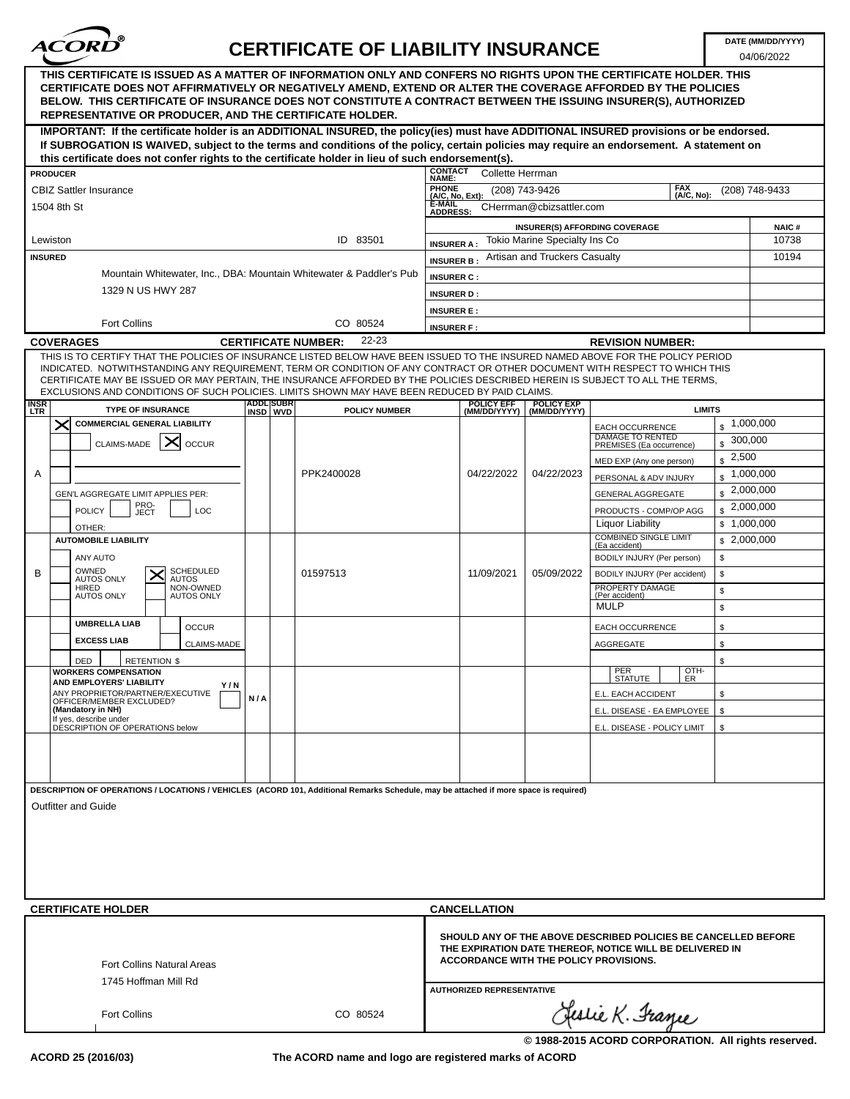

04/06/2022

| THIS CERTIFICATE IS ISSUED AS A MATTER OF INFORMATION ONLY AND CONFERS NO RIGHTS UPON THE CERTIFICATE HOLDER. THIS<br>CERTIFICATE DOES NOT AFFIRMATIVELY OR NEGATIVELY AMEND, EXTEND OR ALTER THE COVERAGE AFFORDED BY THE POLICIES<br>BELOW. THIS CERTIFICATE OF INSURANCE DOES NOT CONSTITUTE A CONTRACT BETWEEN THE ISSUING INSURER(S), AUTHORIZED<br><b>REPRESENTATIVE OR PRODUCER, AND THE CERTIFICATE HOLDER.</b>                                                                                           |                  |                                     |                           |                                  |                                      |                                                                                                                                                                      |                         |                |
|-------------------------------------------------------------------------------------------------------------------------------------------------------------------------------------------------------------------------------------------------------------------------------------------------------------------------------------------------------------------------------------------------------------------------------------------------------------------------------------------------------------------|------------------|-------------------------------------|---------------------------|----------------------------------|--------------------------------------|----------------------------------------------------------------------------------------------------------------------------------------------------------------------|-------------------------|----------------|
| IMPORTANT: If the certificate holder is an ADDITIONAL INSURED, the policy(ies) must have ADDITIONAL INSURED provisions or be endorsed.<br>If SUBROGATION IS WAIVED, subject to the terms and conditions of the policy, certain policies may require an endorsement. A statement on                                                                                                                                                                                                                                |                  |                                     |                           |                                  |                                      |                                                                                                                                                                      |                         |                |
| this certificate does not confer rights to the certificate holder in lieu of such endorsement(s).                                                                                                                                                                                                                                                                                                                                                                                                                 |                  |                                     | <b>CONTACT</b>            |                                  |                                      |                                                                                                                                                                      |                         |                |
| <b>PRODUCER</b>                                                                                                                                                                                                                                                                                                                                                                                                                                                                                                   |                  |                                     | NAME:                     | Collette Herrman                 |                                      | <b>FAX</b>                                                                                                                                                           |                         |                |
| <b>CBIZ Sattler Insurance</b>                                                                                                                                                                                                                                                                                                                                                                                                                                                                                     |                  |                                     | PHONE<br>(A/C, No, Ext):  |                                  | (208) 743-9426                       | (A/C, No):                                                                                                                                                           |                         | (208) 748-9433 |
| 1504 8th St                                                                                                                                                                                                                                                                                                                                                                                                                                                                                                       |                  |                                     | E-MAIL<br><b>ADDRESS:</b> |                                  | CHerrman@cbizsattler.com             |                                                                                                                                                                      |                         |                |
|                                                                                                                                                                                                                                                                                                                                                                                                                                                                                                                   |                  |                                     |                           |                                  |                                      | <b>INSURER(S) AFFORDING COVERAGE</b>                                                                                                                                 |                         | <b>NAIC#</b>   |
| Lewiston                                                                                                                                                                                                                                                                                                                                                                                                                                                                                                          |                  | ID 83501                            | <b>INSURER A:</b>         |                                  | <b>Tokio Marine Specialty Ins Co</b> |                                                                                                                                                                      |                         | 10738          |
| <b>INSURED</b>                                                                                                                                                                                                                                                                                                                                                                                                                                                                                                    |                  |                                     | <b>INSURER B:</b>         |                                  | Artisan and Truckers Casualty        |                                                                                                                                                                      |                         | 10194          |
| Mountain Whitewater, Inc., DBA: Mountain Whitewater & Paddler's Pub                                                                                                                                                                                                                                                                                                                                                                                                                                               |                  |                                     | <b>INSURER C:</b>         |                                  |                                      |                                                                                                                                                                      |                         |                |
| 1329 N US HWY 287                                                                                                                                                                                                                                                                                                                                                                                                                                                                                                 |                  |                                     | <b>INSURER D:</b>         |                                  |                                      |                                                                                                                                                                      |                         |                |
|                                                                                                                                                                                                                                                                                                                                                                                                                                                                                                                   |                  |                                     | <b>INSURER E:</b>         |                                  |                                      |                                                                                                                                                                      |                         |                |
| <b>Fort Collins</b>                                                                                                                                                                                                                                                                                                                                                                                                                                                                                               |                  | CO 80524                            | <b>INSURER F:</b>         |                                  |                                      |                                                                                                                                                                      |                         |                |
| <b>COVERAGES</b>                                                                                                                                                                                                                                                                                                                                                                                                                                                                                                  |                  | 22-23<br><b>CERTIFICATE NUMBER:</b> |                           |                                  |                                      | <b>REVISION NUMBER:</b>                                                                                                                                              |                         |                |
| THIS IS TO CERTIFY THAT THE POLICIES OF INSURANCE LISTED BELOW HAVE BEEN ISSUED TO THE INSURED NAMED ABOVE FOR THE POLICY PERIOD<br>INDICATED. NOTWITHSTANDING ANY REQUIREMENT, TERM OR CONDITION OF ANY CONTRACT OR OTHER DOCUMENT WITH RESPECT TO WHICH THIS<br>CERTIFICATE MAY BE ISSUED OR MAY PERTAIN, THE INSURANCE AFFORDED BY THE POLICIES DESCRIBED HEREIN IS SUBJECT TO ALL THE TERMS.<br>EXCLUSIONS AND CONDITIONS OF SUCH POLICIES. LIMITS SHOWN MAY HAVE BEEN REDUCED BY PAID CLAIMS.<br><b>INSR</b> | <b>ADDLISUBR</b> |                                     |                           | <b>POLICY EFF</b>                | <b>POLICY EXP</b>                    |                                                                                                                                                                      |                         |                |
| <b>TYPE OF INSURANCE</b><br><b>LTR</b>                                                                                                                                                                                                                                                                                                                                                                                                                                                                            | INSD WVD         | <b>POLICY NUMBER</b>                |                           | (MM/DD/YYYY)                     | (MM/DD/YYYY)                         | <b>LIMITS</b>                                                                                                                                                        |                         |                |
| $\times$<br><b>COMMERCIAL GENERAL LIABILITY</b>                                                                                                                                                                                                                                                                                                                                                                                                                                                                   |                  |                                     |                           |                                  |                                      | EACH OCCURRENCE<br>DAMAGE TO RENTED                                                                                                                                  | $\frac{1}{2}$ ,000,000  |                |
| ╳<br>CLAIMS-MADE<br><b>OCCUR</b>                                                                                                                                                                                                                                                                                                                                                                                                                                                                                  |                  |                                     |                           |                                  |                                      | PREMISES (Ea occurrence)                                                                                                                                             | 300,000<br>$\mathbf{s}$ |                |
|                                                                                                                                                                                                                                                                                                                                                                                                                                                                                                                   |                  |                                     |                           |                                  |                                      | MED EXP (Any one person)                                                                                                                                             | $\frac{1}{2}$ , 2,500   |                |
| Α                                                                                                                                                                                                                                                                                                                                                                                                                                                                                                                 |                  | PPK2400028                          |                           | 04/22/2022                       | 04/22/2023                           | PERSONAL & ADV INJURY                                                                                                                                                | $\frac{1,000,000}{2}$   |                |
| GEN'L AGGREGATE LIMIT APPLIES PER:                                                                                                                                                                                                                                                                                                                                                                                                                                                                                |                  |                                     |                           |                                  |                                      | <b>GENERAL AGGREGATE</b>                                                                                                                                             | $\frac{1}{2}$ ,000,000  |                |
| PRO-<br>JECT<br><b>POLICY</b><br>LOC                                                                                                                                                                                                                                                                                                                                                                                                                                                                              |                  |                                     |                           |                                  |                                      | PRODUCTS - COMP/OP AGG                                                                                                                                               | $\frac{1}{2}$ ,000,000  |                |
| OTHER:                                                                                                                                                                                                                                                                                                                                                                                                                                                                                                            |                  |                                     |                           |                                  |                                      | Liquor Liability                                                                                                                                                     | \$1,000,000             |                |
| <b>AUTOMOBILE LIABILITY</b>                                                                                                                                                                                                                                                                                                                                                                                                                                                                                       |                  |                                     |                           |                                  |                                      | <b>COMBINED SINGLE LIMIT</b><br>(Ea accident)                                                                                                                        | \$2,000,000             |                |
| ANY AUTO                                                                                                                                                                                                                                                                                                                                                                                                                                                                                                          |                  |                                     |                           |                                  |                                      | BODILY INJURY (Per person)                                                                                                                                           | \$                      |                |
| OWNED<br><b>SCHEDULED</b><br>B                                                                                                                                                                                                                                                                                                                                                                                                                                                                                    |                  | 01597513                            |                           | 11/09/2021                       | 05/09/2022                           | BODILY INJURY (Per accident)                                                                                                                                         | \$                      |                |
| <b>AUTOS ONLY</b><br><b>AUTOS</b><br><b>HIRED</b><br>NON-OWNED                                                                                                                                                                                                                                                                                                                                                                                                                                                    |                  |                                     |                           |                                  |                                      | PROPERTY DAMAGE                                                                                                                                                      | $\mathbb S$             |                |
| <b>AUTOS ONLY</b><br><b>AUTOS ONLY</b>                                                                                                                                                                                                                                                                                                                                                                                                                                                                            |                  |                                     |                           |                                  |                                      | (Per accident)<br><b>MULP</b>                                                                                                                                        | \$                      |                |
| <b>UMBRELLA LIAB</b><br><b>OCCUR</b>                                                                                                                                                                                                                                                                                                                                                                                                                                                                              |                  |                                     |                           |                                  |                                      |                                                                                                                                                                      | \$                      |                |
| <b>EXCESS LIAB</b>                                                                                                                                                                                                                                                                                                                                                                                                                                                                                                |                  |                                     |                           |                                  |                                      | EACH OCCURRENCE                                                                                                                                                      |                         |                |
| <b>CLAIMS-MADE</b>                                                                                                                                                                                                                                                                                                                                                                                                                                                                                                |                  |                                     |                           |                                  |                                      | AGGREGATE                                                                                                                                                            | \$                      |                |
| <b>RETENTION \$</b><br>DED<br><b>WORKERS COMPENSATION</b>                                                                                                                                                                                                                                                                                                                                                                                                                                                         |                  |                                     |                           |                                  |                                      | OTH-<br>PER                                                                                                                                                          | \$                      |                |
| <b>AND EMPLOYERS' LIABILITY</b><br>Y / N                                                                                                                                                                                                                                                                                                                                                                                                                                                                          |                  |                                     |                           |                                  |                                      | <b>STATUTE</b><br>ER                                                                                                                                                 |                         |                |
| ANY PROPRIETOR/PARTNER/EXECUTIVE<br>OFFICER/MEMBER EXCLUDED?                                                                                                                                                                                                                                                                                                                                                                                                                                                      | N/A              |                                     |                           |                                  |                                      | E.L. EACH ACCIDENT                                                                                                                                                   | \$                      |                |
| (Mandatory in NH)<br>If yes, describe under                                                                                                                                                                                                                                                                                                                                                                                                                                                                       |                  |                                     |                           |                                  |                                      | E.L. DISEASE - EA EMPLOYEE                                                                                                                                           | S.                      |                |
| DESCRIPTION OF OPERATIONS below                                                                                                                                                                                                                                                                                                                                                                                                                                                                                   |                  |                                     |                           |                                  |                                      | E.L. DISEASE - POLICY LIMIT                                                                                                                                          | s.                      |                |
|                                                                                                                                                                                                                                                                                                                                                                                                                                                                                                                   |                  |                                     |                           |                                  |                                      |                                                                                                                                                                      |                         |                |
| DESCRIPTION OF OPERATIONS / LOCATIONS / VEHICLES (ACORD 101, Additional Remarks Schedule, may be attached if more space is required)<br><b>Outfitter and Guide</b>                                                                                                                                                                                                                                                                                                                                                |                  |                                     |                           |                                  |                                      |                                                                                                                                                                      |                         |                |
|                                                                                                                                                                                                                                                                                                                                                                                                                                                                                                                   |                  |                                     |                           |                                  |                                      |                                                                                                                                                                      |                         |                |
|                                                                                                                                                                                                                                                                                                                                                                                                                                                                                                                   |                  |                                     |                           |                                  |                                      |                                                                                                                                                                      |                         |                |
| <b>CERTIFICATE HOLDER</b>                                                                                                                                                                                                                                                                                                                                                                                                                                                                                         |                  |                                     |                           | <b>CANCELLATION</b>              |                                      |                                                                                                                                                                      |                         |                |
| <b>Fort Collins Natural Areas</b><br>1745 Hoffman Mill Rd                                                                                                                                                                                                                                                                                                                                                                                                                                                         |                  |                                     |                           |                                  |                                      | SHOULD ANY OF THE ABOVE DESCRIBED POLICIES BE CANCELLED BEFORE<br>THE EXPIRATION DATE THEREOF, NOTICE WILL BE DELIVERED IN<br>ACCORDANCE WITH THE POLICY PROVISIONS. |                         |                |
|                                                                                                                                                                                                                                                                                                                                                                                                                                                                                                                   |                  |                                     |                           | <b>AUTHORIZED REPRESENTATIVE</b> |                                      |                                                                                                                                                                      |                         |                |
| Fort Collins                                                                                                                                                                                                                                                                                                                                                                                                                                                                                                      |                  | CO 80524                            |                           |                                  |                                      | Clestie K. France                                                                                                                                                    |                         |                |

**The ACORD name and logo are registered marks of ACORD**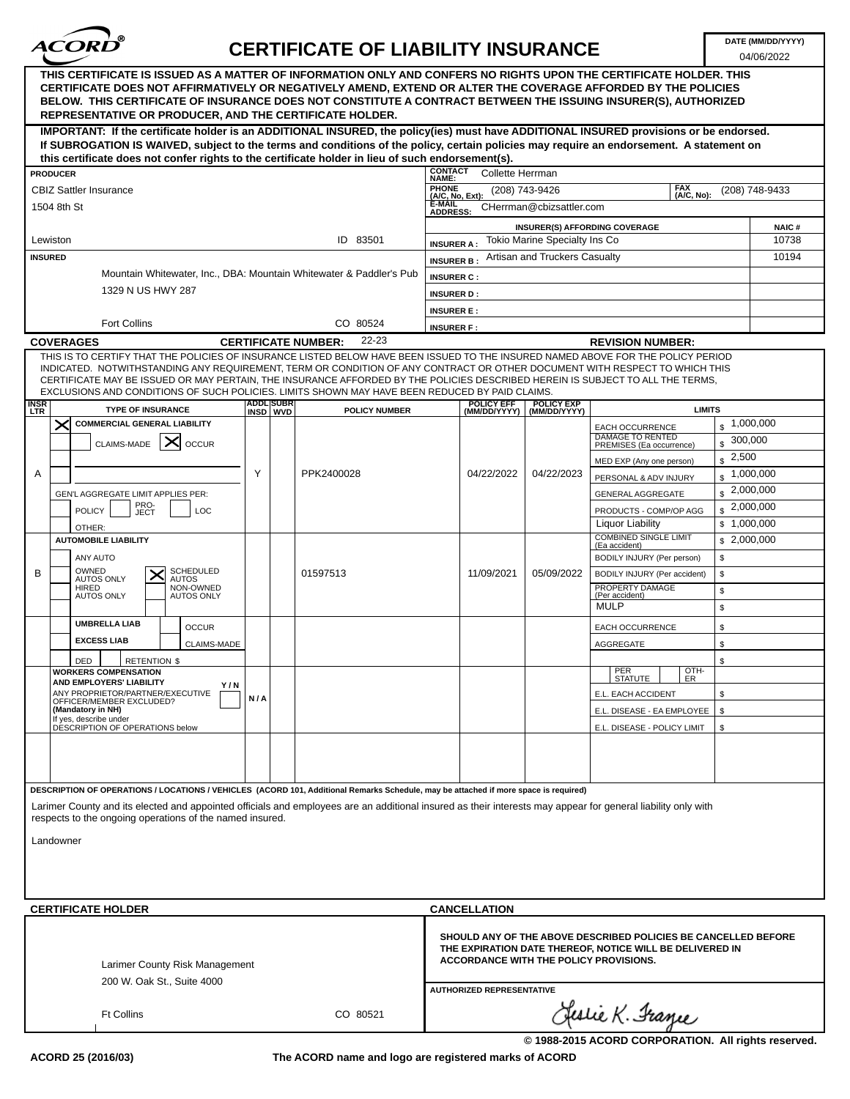

04/06/2022

| THIS CERTIFICATE IS ISSUED AS A MATTER OF INFORMATION ONLY AND CONFERS NO RIGHTS UPON THE CERTIFICATE HOLDER. THIS<br>CERTIFICATE DOES NOT AFFIRMATIVELY OR NEGATIVELY AMEND, EXTEND OR ALTER THE COVERAGE AFFORDED BY THE POLICIES<br>BELOW. THIS CERTIFICATE OF INSURANCE DOES NOT CONSTITUTE A CONTRACT BETWEEN THE ISSUING INSURER(S), AUTHORIZED<br><b>REPRESENTATIVE OR PRODUCER, AND THE CERTIFICATE HOLDER.</b>                                                                            |                      |                                        |                                                                |                                                                                                                            |                                       |                |
|----------------------------------------------------------------------------------------------------------------------------------------------------------------------------------------------------------------------------------------------------------------------------------------------------------------------------------------------------------------------------------------------------------------------------------------------------------------------------------------------------|----------------------|----------------------------------------|----------------------------------------------------------------|----------------------------------------------------------------------------------------------------------------------------|---------------------------------------|----------------|
| IMPORTANT: If the certificate holder is an ADDITIONAL INSURED, the policy(ies) must have ADDITIONAL INSURED provisions or be endorsed.<br>If SUBROGATION IS WAIVED, subject to the terms and conditions of the policy, certain policies may require an endorsement. A statement on                                                                                                                                                                                                                 |                      |                                        |                                                                |                                                                                                                            |                                       |                |
| this certificate does not confer rights to the certificate holder in lieu of such endorsement(s).                                                                                                                                                                                                                                                                                                                                                                                                  |                      | <b>CONTACT</b>                         |                                                                |                                                                                                                            |                                       |                |
| <b>PRODUCER</b>                                                                                                                                                                                                                                                                                                                                                                                                                                                                                    |                      | Collette Herrman<br>NAME:              |                                                                |                                                                                                                            |                                       |                |
| <b>CBIZ Sattler Insurance</b>                                                                                                                                                                                                                                                                                                                                                                                                                                                                      |                      | PHONE<br>(A/C, No, Ext):               | (208) 743-9426                                                 | <b>FAX</b><br>(A/C, No):                                                                                                   |                                       | (208) 748-9433 |
| 1504 8th St                                                                                                                                                                                                                                                                                                                                                                                                                                                                                        |                      | E-MAIL<br><b>ADDRESS:</b>              | CHerrman@cbizsattler.com                                       |                                                                                                                            |                                       |                |
|                                                                                                                                                                                                                                                                                                                                                                                                                                                                                                    |                      |                                        |                                                                | <b>INSURER(S) AFFORDING COVERAGE</b>                                                                                       |                                       | <b>NAIC#</b>   |
| Lewiston<br><b>INSURED</b>                                                                                                                                                                                                                                                                                                                                                                                                                                                                         | ID 83501             | <b>INSURER A:</b><br><b>INSURER B:</b> | Tokio Marine Specialty Ins Co<br>Artisan and Truckers Casualty |                                                                                                                            |                                       | 10738<br>10194 |
| Mountain Whitewater, Inc., DBA: Mountain Whitewater & Paddler's Pub                                                                                                                                                                                                                                                                                                                                                                                                                                |                      | <b>INSURER C:</b>                      |                                                                |                                                                                                                            |                                       |                |
| 1329 N US HWY 287                                                                                                                                                                                                                                                                                                                                                                                                                                                                                  |                      | <b>INSURER D:</b>                      |                                                                |                                                                                                                            |                                       |                |
|                                                                                                                                                                                                                                                                                                                                                                                                                                                                                                    |                      | <b>INSURER E:</b>                      |                                                                |                                                                                                                            |                                       |                |
| <b>Fort Collins</b>                                                                                                                                                                                                                                                                                                                                                                                                                                                                                | CO 80524             | <b>INSURER F:</b>                      |                                                                |                                                                                                                            |                                       |                |
| <b>COVERAGES</b><br><b>CERTIFICATE NUMBER:</b>                                                                                                                                                                                                                                                                                                                                                                                                                                                     | 22-23                |                                        |                                                                | <b>REVISION NUMBER:</b>                                                                                                    |                                       |                |
| THIS IS TO CERTIFY THAT THE POLICIES OF INSURANCE LISTED BELOW HAVE BEEN ISSUED TO THE INSURED NAMED ABOVE FOR THE POLICY PERIOD<br>INDICATED. NOTWITHSTANDING ANY REQUIREMENT, TERM OR CONDITION OF ANY CONTRACT OR OTHER DOCUMENT WITH RESPECT TO WHICH THIS<br>CERTIFICATE MAY BE ISSUED OR MAY PERTAIN, THE INSURANCE AFFORDED BY THE POLICIES DESCRIBED HEREIN IS SUBJECT TO ALL THE TERMS,<br>EXCLUSIONS AND CONDITIONS OF SUCH POLICIES. LIMITS SHOWN MAY HAVE BEEN REDUCED BY PAID CLAIMS. |                      | <b>POLICY EFF</b>                      | <b>POLICY EXP</b>                                              |                                                                                                                            |                                       |                |
| ADDL SUBR<br>INSD WVD<br><b>INSR</b><br>LTR<br><b>TYPE OF INSURANCE</b>                                                                                                                                                                                                                                                                                                                                                                                                                            | <b>POLICY NUMBER</b> | (MM/DD/YYYY)                           | (MM/DD/YYYY)                                                   | <b>LIMITS</b>                                                                                                              |                                       |                |
| <b>COMMERCIAL GENERAL LIABILITY</b><br>$\times$                                                                                                                                                                                                                                                                                                                                                                                                                                                    |                      |                                        |                                                                | <b>EACH OCCURRENCE</b><br>DAMAGE TO RENTED                                                                                 | $\frac{1}{2}$ ,000,000<br>300,000     |                |
| $\mathsf{X}$<br>CLAIMS-MADE<br><b>OCCUR</b>                                                                                                                                                                                                                                                                                                                                                                                                                                                        |                      |                                        |                                                                | PREMISES (Ea occurrence)<br>MED EXP (Any one person)                                                                       | $\mathbf{s}$<br>2,500<br>$\mathbf{s}$ |                |
| Y<br>Α                                                                                                                                                                                                                                                                                                                                                                                                                                                                                             | PPK2400028           | 04/22/2022                             | 04/22/2023                                                     | PERSONAL & ADV INJURY                                                                                                      | $\mathbf{s}$                          | 1,000,000      |
| GEN'L AGGREGATE LIMIT APPLIES PER:                                                                                                                                                                                                                                                                                                                                                                                                                                                                 |                      |                                        |                                                                | <b>GENERAL AGGREGATE</b>                                                                                                   | $\frac{1}{2}$ , 2,000,000             |                |
| PRO-<br>JECT<br><b>POLICY</b><br>LOC                                                                                                                                                                                                                                                                                                                                                                                                                                                               |                      |                                        |                                                                | PRODUCTS - COMP/OP AGG                                                                                                     | \$2,000,000                           |                |
| OTHER:                                                                                                                                                                                                                                                                                                                                                                                                                                                                                             |                      |                                        |                                                                | Liquor Liability                                                                                                           | \$1,000,000                           |                |
| <b>AUTOMOBILE LIABILITY</b>                                                                                                                                                                                                                                                                                                                                                                                                                                                                        |                      |                                        |                                                                | <b>COMBINED SINGLE LIMIT</b><br>(Ea accident)                                                                              | \$2,000,000                           |                |
| ANY AUTO                                                                                                                                                                                                                                                                                                                                                                                                                                                                                           |                      |                                        |                                                                | BODILY INJURY (Per person)                                                                                                 | \$                                    |                |
| OWNED<br>SCHEDULED<br>B<br><b>AUTOS ONLY</b><br>AUTOS                                                                                                                                                                                                                                                                                                                                                                                                                                              | 01597513             | 11/09/2021                             | 05/09/2022                                                     | BODILY INJURY (Per accident)                                                                                               | \$                                    |                |
| NON-OWNED<br>HIRED<br><b>AUTOS ONLY</b><br><b>AUTOS ONLY</b>                                                                                                                                                                                                                                                                                                                                                                                                                                       |                      |                                        |                                                                | PROPERTY DAMAGE<br>(Per accident)                                                                                          | \$                                    |                |
| <b>UMBRELLA LIAB</b>                                                                                                                                                                                                                                                                                                                                                                                                                                                                               |                      |                                        |                                                                | <b>MULP</b>                                                                                                                | \$                                    |                |
| <b>OCCUR</b><br><b>EXCESS LIAB</b>                                                                                                                                                                                                                                                                                                                                                                                                                                                                 |                      |                                        |                                                                | <b>EACH OCCURRENCE</b>                                                                                                     | \$                                    |                |
| CLAIMS-MADE                                                                                                                                                                                                                                                                                                                                                                                                                                                                                        |                      |                                        |                                                                | AGGREGATE                                                                                                                  | \$                                    |                |
| <b>RETENTION \$</b><br>DED<br><b>WORKERS COMPENSATION</b>                                                                                                                                                                                                                                                                                                                                                                                                                                          |                      |                                        |                                                                | PER<br>STATUTE<br>OTH-                                                                                                     | \$                                    |                |
| AND EMPLOYERS' LIABILITY<br>Y/N<br>ANY PROPRIETOR/PARTNER/EXECUTIVE                                                                                                                                                                                                                                                                                                                                                                                                                                |                      |                                        |                                                                | ER                                                                                                                         |                                       |                |
| N/A<br>OFFICER/MEMBER EXCLUDED?<br>(Mandatory in NH)                                                                                                                                                                                                                                                                                                                                                                                                                                               |                      |                                        |                                                                | E.L. EACH ACCIDENT                                                                                                         | \$<br>\$                              |                |
| If yes, describe under<br>DESCRIPTION OF OPERATIONS below                                                                                                                                                                                                                                                                                                                                                                                                                                          |                      |                                        |                                                                | E.L. DISEASE - EA EMPLOYEE                                                                                                 | \$                                    |                |
|                                                                                                                                                                                                                                                                                                                                                                                                                                                                                                    |                      |                                        |                                                                | E.L. DISEASE - POLICY LIMIT                                                                                                |                                       |                |
|                                                                                                                                                                                                                                                                                                                                                                                                                                                                                                    |                      |                                        |                                                                |                                                                                                                            |                                       |                |
|                                                                                                                                                                                                                                                                                                                                                                                                                                                                                                    |                      |                                        |                                                                |                                                                                                                            |                                       |                |
| DESCRIPTION OF OPERATIONS / LOCATIONS / VEHICLES (ACORD 101, Additional Remarks Schedule, may be attached if more space is required)<br>Larimer County and its elected and appointed officials and employees are an additional insured as their interests may appear for general liability only with<br>respects to the ongoing operations of the named insured.                                                                                                                                   |                      |                                        |                                                                |                                                                                                                            |                                       |                |
| Landowner                                                                                                                                                                                                                                                                                                                                                                                                                                                                                          |                      |                                        |                                                                |                                                                                                                            |                                       |                |
|                                                                                                                                                                                                                                                                                                                                                                                                                                                                                                    |                      |                                        |                                                                |                                                                                                                            |                                       |                |
| <b>CERTIFICATE HOLDER</b>                                                                                                                                                                                                                                                                                                                                                                                                                                                                          |                      | <b>CANCELLATION</b>                    |                                                                |                                                                                                                            |                                       |                |
|                                                                                                                                                                                                                                                                                                                                                                                                                                                                                                    |                      |                                        |                                                                |                                                                                                                            |                                       |                |
| Larimer County Risk Management<br>200 W. Oak St., Suite 4000                                                                                                                                                                                                                                                                                                                                                                                                                                       |                      | ACCORDANCE WITH THE POLICY PROVISIONS. |                                                                | SHOULD ANY OF THE ABOVE DESCRIBED POLICIES BE CANCELLED BEFORE<br>THE EXPIRATION DATE THEREOF, NOTICE WILL BE DELIVERED IN |                                       |                |
|                                                                                                                                                                                                                                                                                                                                                                                                                                                                                                    |                      | <b>AUTHORIZED REPRESENTATIVE</b>       |                                                                |                                                                                                                            |                                       |                |
| <b>Ft Collins</b>                                                                                                                                                                                                                                                                                                                                                                                                                                                                                  | CO 80521             |                                        |                                                                | Gestie K. France                                                                                                           |                                       |                |
|                                                                                                                                                                                                                                                                                                                                                                                                                                                                                                    |                      |                                        |                                                                | © 1988-2015 ACORD CORPORATION. All rights reserved.                                                                        |                                       |                |

**The ACORD name and logo are registered marks of ACORD**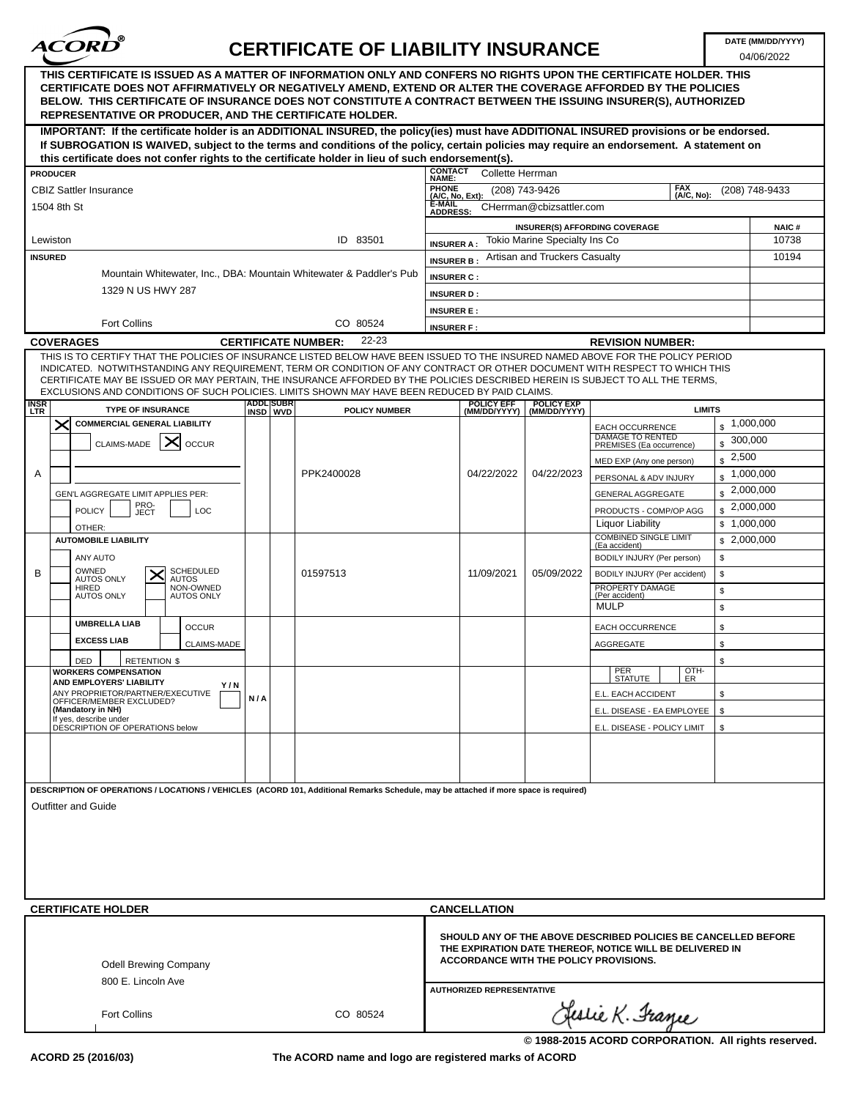

04/06/2022

|                           | THIS CERTIFICATE IS ISSUED AS A MATTER OF INFORMATION ONLY AND CONFERS NO RIGHTS UPON THE CERTIFICATE HOLDER. THIS<br>CERTIFICATE DOES NOT AFFIRMATIVELY OR NEGATIVELY AMEND, EXTEND OR ALTER THE COVERAGE AFFORDED BY THE POLICIES<br>BELOW. THIS CERTIFICATE OF INSURANCE DOES NOT CONSTITUTE A CONTRACT BETWEEN THE ISSUING INSURER(S), AUTHORIZED<br>REPRESENTATIVE OR PRODUCER, AND THE CERTIFICATE HOLDER. |                              |                            |                      |                                          |                                   |                                   |                                                                                                                                                                      |                        |                       |
|---------------------------|------------------------------------------------------------------------------------------------------------------------------------------------------------------------------------------------------------------------------------------------------------------------------------------------------------------------------------------------------------------------------------------------------------------|------------------------------|----------------------------|----------------------|------------------------------------------|-----------------------------------|-----------------------------------|----------------------------------------------------------------------------------------------------------------------------------------------------------------------|------------------------|-----------------------|
|                           | IMPORTANT: If the certificate holder is an ADDITIONAL INSURED, the policy(ies) must have ADDITIONAL INSURED provisions or be endorsed.<br>If SUBROGATION IS WAIVED, subject to the terms and conditions of the policy, certain policies may require an endorsement. A statement on<br>this certificate does not confer rights to the certificate holder in lieu of such endorsement(s).                          |                              |                            |                      |                                          |                                   |                                   |                                                                                                                                                                      |                        |                       |
|                           | <b>PRODUCER</b>                                                                                                                                                                                                                                                                                                                                                                                                  |                              |                            |                      | <b>CONTACT</b>                           | <b>Collette Herrman</b>           |                                   |                                                                                                                                                                      |                        |                       |
|                           | <b>CBIZ Sattler Insurance</b>                                                                                                                                                                                                                                                                                                                                                                                    |                              |                            |                      | <b>NAME:</b><br>PHONE<br>(A/C, No, Ext): | (208) 743-9426                    |                                   | <b>FAX</b>                                                                                                                                                           |                        | (208) 748-9433        |
|                           | 1504 8th St                                                                                                                                                                                                                                                                                                                                                                                                      |                              |                            |                      | <b>E-MAIL</b>                            |                                   | CHerrman@cbizsattler.com          | (A/C, No):                                                                                                                                                           |                        |                       |
|                           |                                                                                                                                                                                                                                                                                                                                                                                                                  |                              |                            |                      | <b>ADDRESS:</b>                          |                                   |                                   |                                                                                                                                                                      |                        |                       |
|                           | Lewiston                                                                                                                                                                                                                                                                                                                                                                                                         |                              |                            | ID 83501             |                                          |                                   | Tokio Marine Specialty Ins Co     | <b>INSURER(S) AFFORDING COVERAGE</b>                                                                                                                                 |                        | <b>NAIC#</b><br>10738 |
| <b>INSURED</b>            |                                                                                                                                                                                                                                                                                                                                                                                                                  |                              |                            |                      | <b>INSURER A:</b>                        |                                   | Artisan and Truckers Casualty     |                                                                                                                                                                      |                        | 10194                 |
|                           | Mountain Whitewater, Inc., DBA: Mountain Whitewater & Paddler's Pub                                                                                                                                                                                                                                                                                                                                              |                              |                            |                      | <b>INSURER B:</b>                        |                                   |                                   |                                                                                                                                                                      |                        |                       |
|                           | 1329 N US HWY 287                                                                                                                                                                                                                                                                                                                                                                                                |                              |                            |                      | <b>INSURER C:</b>                        |                                   |                                   |                                                                                                                                                                      |                        |                       |
|                           |                                                                                                                                                                                                                                                                                                                                                                                                                  |                              |                            |                      | <b>INSURER D:</b>                        |                                   |                                   |                                                                                                                                                                      |                        |                       |
|                           | <b>Fort Collins</b>                                                                                                                                                                                                                                                                                                                                                                                              |                              |                            | CO 80524             | <b>INSURER E:</b>                        |                                   |                                   |                                                                                                                                                                      |                        |                       |
|                           |                                                                                                                                                                                                                                                                                                                                                                                                                  |                              |                            | 22-23                | <b>INSURER F:</b>                        |                                   |                                   |                                                                                                                                                                      |                        |                       |
|                           | <b>COVERAGES</b><br>THIS IS TO CERTIFY THAT THE POLICIES OF INSURANCE LISTED BELOW HAVE BEEN ISSUED TO THE INSURED NAMED ABOVE FOR THE POLICY PERIOD                                                                                                                                                                                                                                                             |                              | <b>CERTIFICATE NUMBER:</b> |                      |                                          |                                   |                                   | <b>REVISION NUMBER:</b>                                                                                                                                              |                        |                       |
|                           | INDICATED. NOTWITHSTANDING ANY REQUIREMENT, TERM OR CONDITION OF ANY CONTRACT OR OTHER DOCUMENT WITH RESPECT TO WHICH THIS<br>CERTIFICATE MAY BE ISSUED OR MAY PERTAIN, THE INSURANCE AFFORDED BY THE POLICIES DESCRIBED HEREIN IS SUBJECT TO ALL THE TERMS.<br>EXCLUSIONS AND CONDITIONS OF SUCH POLICIES. LIMITS SHOWN MAY HAVE BEEN REDUCED BY PAID CLAIMS.                                                   |                              |                            |                      |                                          |                                   |                                   |                                                                                                                                                                      |                        |                       |
| <b>INSR</b><br><b>LTR</b> | <b>TYPE OF INSURANCE</b>                                                                                                                                                                                                                                                                                                                                                                                         | <b>ADDL</b> SUBR<br>INSD WVD |                            | <b>POLICY NUMBER</b> |                                          | <b>POLICY EFF</b><br>(MM/DD/YYYY) | <b>POLICY EXP</b><br>(MM/DD/YYYY) |                                                                                                                                                                      | <b>LIMITS</b>          |                       |
|                           | $\boldsymbol{\times}$<br><b>COMMERCIAL GENERAL LIABILITY</b>                                                                                                                                                                                                                                                                                                                                                     |                              |                            |                      |                                          |                                   |                                   | <b>EACH OCCURRENCE</b>                                                                                                                                               | $\frac{1}{2}$ ,000,000 |                       |
|                           | CLAIMS-MADE<br><b>OCCUR</b>                                                                                                                                                                                                                                                                                                                                                                                      |                              |                            |                      |                                          |                                   |                                   | DAMAGE TO RENTED<br>PREMISES (Ea occurrence)                                                                                                                         | $\mathbf{s}$           | 300,000               |
|                           |                                                                                                                                                                                                                                                                                                                                                                                                                  |                              |                            |                      |                                          |                                   |                                   | MED EXP (Any one person)                                                                                                                                             | 2,500<br>$\mathbb{S}$  |                       |
| Α                         |                                                                                                                                                                                                                                                                                                                                                                                                                  |                              | PPK2400028                 |                      |                                          | 04/22/2022                        | 04/22/2023                        | PERSONAL & ADV INJURY                                                                                                                                                | $\frac{1}{2}$ ,000,000 |                       |
|                           | GEN'L AGGREGATE LIMIT APPLIES PER:                                                                                                                                                                                                                                                                                                                                                                               |                              |                            |                      |                                          |                                   |                                   | <b>GENERAL AGGREGATE</b>                                                                                                                                             |                        | \$2,000,000           |
|                           | PRO-<br>JECT<br>LOC<br><b>POLICY</b>                                                                                                                                                                                                                                                                                                                                                                             |                              |                            |                      |                                          |                                   |                                   | PRODUCTS - COMP/OP AGG                                                                                                                                               | $\frac{1}{2}$ ,000,000 |                       |
|                           | OTHER:                                                                                                                                                                                                                                                                                                                                                                                                           |                              |                            |                      |                                          |                                   |                                   | Liquor Liability                                                                                                                                                     | \$1,000,000            |                       |
|                           | <b>AUTOMOBILE LIABILITY</b>                                                                                                                                                                                                                                                                                                                                                                                      |                              |                            |                      |                                          |                                   |                                   | <b>COMBINED SINGLE LIMIT</b><br>(Ea accident)                                                                                                                        | \$2,000,000            |                       |
|                           | ANY AUTO                                                                                                                                                                                                                                                                                                                                                                                                         |                              |                            |                      |                                          |                                   |                                   | BODILY INJURY (Per person)                                                                                                                                           | \$                     |                       |
| B                         | OWNED<br><b>SCHEDULED</b><br><b>AUTOS ONLY</b><br><b>AUTOS</b>                                                                                                                                                                                                                                                                                                                                                   |                              | 01597513                   |                      |                                          | 11/09/2021                        | 05/09/2022                        | BODILY INJURY (Per accident)                                                                                                                                         | \$                     |                       |
|                           | <b>HIRED</b><br>NON-OWNED<br><b>AUTOS ONLY</b><br><b>AUTOS ONLY</b>                                                                                                                                                                                                                                                                                                                                              |                              |                            |                      |                                          |                                   |                                   | PROPERTY DAMAGE<br>(Per accident)                                                                                                                                    | \$                     |                       |
|                           |                                                                                                                                                                                                                                                                                                                                                                                                                  |                              |                            |                      |                                          |                                   |                                   | <b>MULP</b>                                                                                                                                                          | \$                     |                       |
|                           | <b>UMBRELLA LIAB</b><br><b>OCCUR</b>                                                                                                                                                                                                                                                                                                                                                                             |                              |                            |                      |                                          |                                   |                                   | <b>EACH OCCURRENCE</b>                                                                                                                                               | \$                     |                       |
|                           | <b>EXCESS LIAB</b><br><b>CLAIMS-MADE</b>                                                                                                                                                                                                                                                                                                                                                                         |                              |                            |                      |                                          |                                   |                                   | AGGREGATE                                                                                                                                                            | \$                     |                       |
|                           | DED<br><b>RETENTION \$</b>                                                                                                                                                                                                                                                                                                                                                                                       |                              |                            |                      |                                          |                                   |                                   |                                                                                                                                                                      | \$                     |                       |
|                           | <b>WORKERS COMPENSATION</b>                                                                                                                                                                                                                                                                                                                                                                                      |                              |                            |                      |                                          |                                   |                                   | OTH-<br>PER<br>STATUTE<br>ÉR.                                                                                                                                        |                        |                       |
|                           | AND EMPLOYERS' LIABILITY<br>Y/N<br>ANY PROPRIETOR/PARTNER/EXECUTIVE                                                                                                                                                                                                                                                                                                                                              |                              |                            |                      |                                          |                                   |                                   | E.L. EACH ACCIDENT                                                                                                                                                   | \$                     |                       |
|                           | OFFICER/MEMBER EXCLUDED?<br>(Mandatory in NH)                                                                                                                                                                                                                                                                                                                                                                    | N/A                          |                            |                      |                                          |                                   |                                   | E.L. DISEASE - EA EMPLOYEE                                                                                                                                           | s.                     |                       |
|                           | If yes, describe under<br>DESCRIPTION OF OPERATIONS below                                                                                                                                                                                                                                                                                                                                                        |                              |                            |                      |                                          |                                   |                                   | E.L. DISEASE - POLICY LIMIT                                                                                                                                          | s.                     |                       |
|                           |                                                                                                                                                                                                                                                                                                                                                                                                                  |                              |                            |                      |                                          |                                   |                                   |                                                                                                                                                                      |                        |                       |
|                           |                                                                                                                                                                                                                                                                                                                                                                                                                  |                              |                            |                      |                                          |                                   |                                   |                                                                                                                                                                      |                        |                       |
|                           |                                                                                                                                                                                                                                                                                                                                                                                                                  |                              |                            |                      |                                          |                                   |                                   |                                                                                                                                                                      |                        |                       |
|                           | DESCRIPTION OF OPERATIONS / LOCATIONS / VEHICLES (ACORD 101, Additional Remarks Schedule, may be attached if more space is required)                                                                                                                                                                                                                                                                             |                              |                            |                      |                                          |                                   |                                   |                                                                                                                                                                      |                        |                       |
|                           | <b>Outfitter and Guide</b>                                                                                                                                                                                                                                                                                                                                                                                       |                              |                            |                      |                                          |                                   |                                   |                                                                                                                                                                      |                        |                       |
|                           |                                                                                                                                                                                                                                                                                                                                                                                                                  |                              |                            |                      |                                          |                                   |                                   |                                                                                                                                                                      |                        |                       |
|                           |                                                                                                                                                                                                                                                                                                                                                                                                                  |                              |                            |                      |                                          |                                   |                                   |                                                                                                                                                                      |                        |                       |
|                           |                                                                                                                                                                                                                                                                                                                                                                                                                  |                              |                            |                      |                                          |                                   |                                   |                                                                                                                                                                      |                        |                       |
|                           |                                                                                                                                                                                                                                                                                                                                                                                                                  |                              |                            |                      |                                          |                                   |                                   |                                                                                                                                                                      |                        |                       |
|                           |                                                                                                                                                                                                                                                                                                                                                                                                                  |                              |                            |                      |                                          |                                   |                                   |                                                                                                                                                                      |                        |                       |
|                           | <b>CERTIFICATE HOLDER</b>                                                                                                                                                                                                                                                                                                                                                                                        |                              |                            |                      |                                          | <b>CANCELLATION</b>               |                                   |                                                                                                                                                                      |                        |                       |
|                           | <b>Odell Brewing Company</b><br>800 E. Lincoln Ave                                                                                                                                                                                                                                                                                                                                                               |                              |                            |                      |                                          |                                   |                                   | SHOULD ANY OF THE ABOVE DESCRIBED POLICIES BE CANCELLED BEFORE<br>THE EXPIRATION DATE THEREOF, NOTICE WILL BE DELIVERED IN<br>ACCORDANCE WITH THE POLICY PROVISIONS. |                        |                       |
|                           |                                                                                                                                                                                                                                                                                                                                                                                                                  |                              |                            |                      |                                          | <b>AUTHORIZED REPRESENTATIVE</b>  |                                   |                                                                                                                                                                      |                        |                       |
|                           | Fort Collins                                                                                                                                                                                                                                                                                                                                                                                                     |                              |                            | CO 80524             |                                          |                                   |                                   | Jeslie K. France                                                                                                                                                     |                        |                       |
|                           |                                                                                                                                                                                                                                                                                                                                                                                                                  |                              |                            |                      |                                          |                                   |                                   |                                                                                                                                                                      |                        |                       |

**The ACORD name and logo are registered marks of ACORD**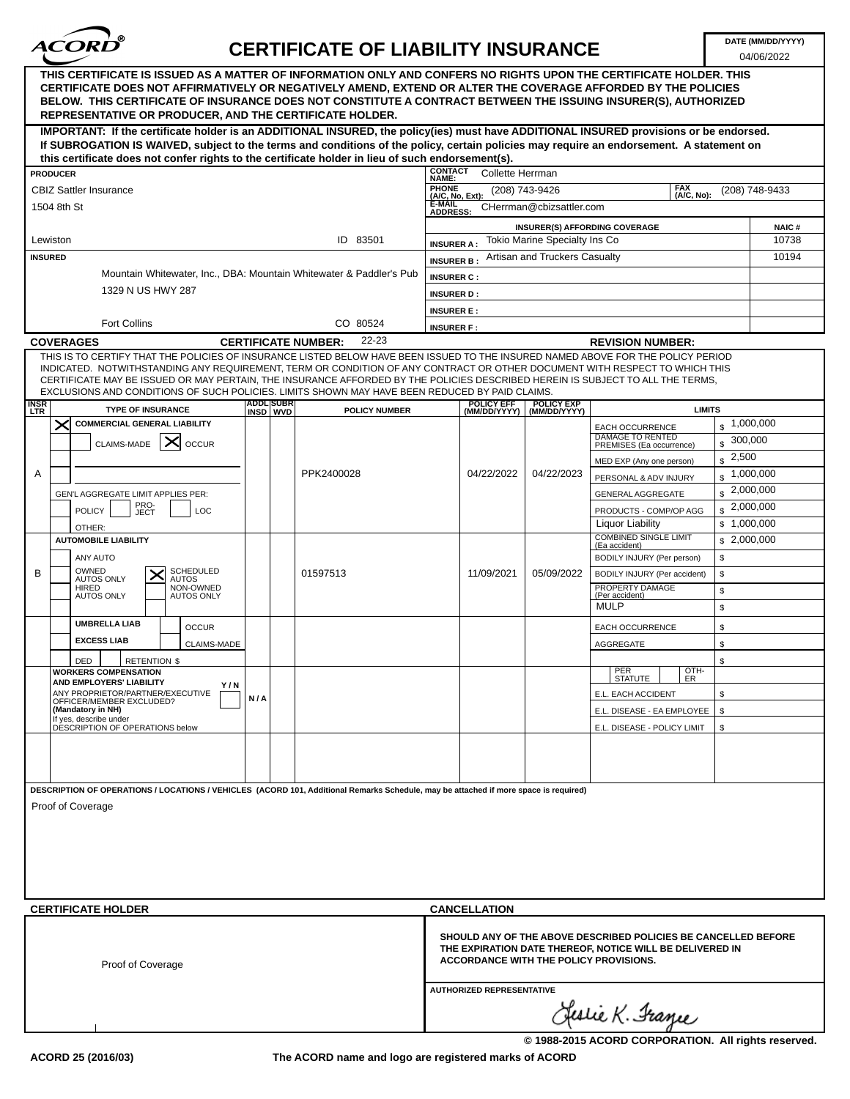

04/06/2022

|                                                                                                                     | THIS CERTIFICATE IS ISSUED AS A MATTER OF INFORMATION ONLY AND CONFERS NO RIGHTS UPON THE CERTIFICATE HOLDER. THIS<br>CERTIFICATE DOES NOT AFFIRMATIVELY OR NEGATIVELY AMEND, EXTEND OR ALTER THE COVERAGE AFFORDED BY THE POLICIES<br>BELOW. THIS CERTIFICATE OF INSURANCE DOES NOT CONSTITUTE A CONTRACT BETWEEN THE ISSUING INSURER(S), AUTHORIZED<br>REPRESENTATIVE OR PRODUCER, AND THE CERTIFICATE HOLDER. |                         |                      |                                          |                                   |                                   |                                                                                                                                                                             |                        |                       |
|---------------------------------------------------------------------------------------------------------------------|------------------------------------------------------------------------------------------------------------------------------------------------------------------------------------------------------------------------------------------------------------------------------------------------------------------------------------------------------------------------------------------------------------------|-------------------------|----------------------|------------------------------------------|-----------------------------------|-----------------------------------|-----------------------------------------------------------------------------------------------------------------------------------------------------------------------------|------------------------|-----------------------|
|                                                                                                                     | IMPORTANT: If the certificate holder is an ADDITIONAL INSURED, the policy(ies) must have ADDITIONAL INSURED provisions or be endorsed.<br>If SUBROGATION IS WAIVED, subject to the terms and conditions of the policy, certain policies may require an endorsement. A statement on<br>this certificate does not confer rights to the certificate holder in lieu of such endorsement(s).                          |                         |                      |                                          |                                   |                                   |                                                                                                                                                                             |                        |                       |
|                                                                                                                     | <b>PRODUCER</b>                                                                                                                                                                                                                                                                                                                                                                                                  |                         |                      | <b>CONTACT</b>                           | <b>Collette Herrman</b>           |                                   |                                                                                                                                                                             |                        |                       |
|                                                                                                                     | <b>CBIZ Sattler Insurance</b>                                                                                                                                                                                                                                                                                                                                                                                    |                         |                      | <b>NAME:</b><br>PHONE<br>(A/C, No, Ext): | (208) 743-9426                    |                                   | <b>FAX</b>                                                                                                                                                                  |                        | (208) 748-9433        |
|                                                                                                                     | 1504 8th St                                                                                                                                                                                                                                                                                                                                                                                                      |                         |                      | E-MAIL                                   |                                   | CHerrman@cbizsattler.com          | (A/C, No):                                                                                                                                                                  |                        |                       |
|                                                                                                                     |                                                                                                                                                                                                                                                                                                                                                                                                                  |                         |                      | <b>ADDRESS:</b>                          |                                   |                                   |                                                                                                                                                                             |                        |                       |
|                                                                                                                     | Lewiston                                                                                                                                                                                                                                                                                                                                                                                                         |                         | ID 83501             |                                          |                                   | Tokio Marine Specialty Ins Co     | <b>INSURER(S) AFFORDING COVERAGE</b>                                                                                                                                        |                        | <b>NAIC#</b><br>10738 |
|                                                                                                                     | <b>INSURED</b>                                                                                                                                                                                                                                                                                                                                                                                                   |                         |                      | <b>INSURER A:</b>                        |                                   | Artisan and Truckers Casualty     |                                                                                                                                                                             |                        | 10194                 |
|                                                                                                                     | Mountain Whitewater, Inc., DBA: Mountain Whitewater & Paddler's Pub                                                                                                                                                                                                                                                                                                                                              |                         |                      | <b>INSURER B</b>                         |                                   |                                   |                                                                                                                                                                             |                        |                       |
|                                                                                                                     | 1329 N US HWY 287                                                                                                                                                                                                                                                                                                                                                                                                |                         |                      | <b>INSURER C:</b>                        |                                   |                                   |                                                                                                                                                                             |                        |                       |
|                                                                                                                     |                                                                                                                                                                                                                                                                                                                                                                                                                  |                         |                      | <b>INSURER D:</b><br><b>INSURER E:</b>   |                                   |                                   |                                                                                                                                                                             |                        |                       |
|                                                                                                                     | <b>Fort Collins</b>                                                                                                                                                                                                                                                                                                                                                                                              |                         |                      |                                          |                                   |                                   |                                                                                                                                                                             |                        |                       |
| CO 80524<br><b>INSURER F:</b><br>22-23<br><b>COVERAGES</b><br><b>CERTIFICATE NUMBER:</b><br><b>REVISION NUMBER:</b> |                                                                                                                                                                                                                                                                                                                                                                                                                  |                         |                      |                                          |                                   |                                   |                                                                                                                                                                             |                        |                       |
|                                                                                                                     | THIS IS TO CERTIFY THAT THE POLICIES OF INSURANCE LISTED BELOW HAVE BEEN ISSUED TO THE INSURED NAMED ABOVE FOR THE POLICY PERIOD                                                                                                                                                                                                                                                                                 |                         |                      |                                          |                                   |                                   |                                                                                                                                                                             |                        |                       |
|                                                                                                                     | INDICATED. NOTWITHSTANDING ANY REQUIREMENT, TERM OR CONDITION OF ANY CONTRACT OR OTHER DOCUMENT WITH RESPECT TO WHICH THIS<br>CERTIFICATE MAY BE ISSUED OR MAY PERTAIN, THE INSURANCE AFFORDED BY THE POLICIES DESCRIBED HEREIN IS SUBJECT TO ALL THE TERMS,<br>EXCLUSIONS AND CONDITIONS OF SUCH POLICIES, LIMITS SHOWN MAY HAVE BEEN REDUCED BY PAID CLAIMS.                                                   |                         |                      |                                          |                                   |                                   |                                                                                                                                                                             |                        |                       |
| <b>INSR</b><br>LTR                                                                                                  | <b>TYPE OF INSURANCE</b>                                                                                                                                                                                                                                                                                                                                                                                         | ADDL SUBR<br>INSD   WVD | <b>POLICY NUMBER</b> |                                          | <b>POLICY EFF</b><br>(MM/DD/YYYY) | <b>POLICY EXP</b><br>(MM/DD/YYYY) | <b>LIMITS</b>                                                                                                                                                               |                        |                       |
|                                                                                                                     | $\bm{\times}$<br><b>COMMERCIAL GENERAL LIABILITY</b>                                                                                                                                                                                                                                                                                                                                                             |                         |                      |                                          |                                   |                                   | <b>EACH OCCURRENCE</b>                                                                                                                                                      | $\frac{1}{2}$ ,000,000 |                       |
|                                                                                                                     | CLAIMS-MADE<br>✕<br><b>OCCUR</b>                                                                                                                                                                                                                                                                                                                                                                                 |                         |                      |                                          |                                   |                                   | <b>DAMAGE TO RENTED</b><br>PREMISES (Ea occurrence)                                                                                                                         | $\frac{1}{2}$ 300,000  |                       |
|                                                                                                                     |                                                                                                                                                                                                                                                                                                                                                                                                                  |                         |                      |                                          |                                   |                                   | MED EXP (Any one person)                                                                                                                                                    | $\frac{1}{2}$ , 2,500  |                       |
| A                                                                                                                   |                                                                                                                                                                                                                                                                                                                                                                                                                  |                         | PPK2400028           |                                          | 04/22/2022                        | 04/22/2023                        | PERSONAL & ADV INJURY                                                                                                                                                       | $\frac{1}{2}$ ,000,000 |                       |
|                                                                                                                     | GEN'L AGGREGATE LIMIT APPLIES PER:                                                                                                                                                                                                                                                                                                                                                                               |                         |                      |                                          |                                   |                                   | GENERAL AGGREGATE                                                                                                                                                           | $\frac{1}{2}$ ,000,000 |                       |
|                                                                                                                     | PRO-<br>JECT<br>LOC<br><b>POLICY</b>                                                                                                                                                                                                                                                                                                                                                                             |                         |                      |                                          |                                   |                                   | PRODUCTS - COMP/OP AGG                                                                                                                                                      | $\frac{1}{2}$ ,000,000 |                       |
|                                                                                                                     | OTHER:                                                                                                                                                                                                                                                                                                                                                                                                           |                         |                      |                                          |                                   |                                   | Liquor Liability                                                                                                                                                            | \$1,000,000            |                       |
|                                                                                                                     | <b>AUTOMOBILE LIABILITY</b>                                                                                                                                                                                                                                                                                                                                                                                      |                         |                      |                                          |                                   |                                   | <b>COMBINED SINGLE LIMIT</b><br>(Ea accident)                                                                                                                               | \$2,000,000            |                       |
|                                                                                                                     | ANY AUTO                                                                                                                                                                                                                                                                                                                                                                                                         |                         |                      |                                          |                                   |                                   | BODILY INJURY (Per person)                                                                                                                                                  | \$                     |                       |
| B                                                                                                                   | OWNED<br><b>SCHEDULED</b><br><b>AUTOS ONLY</b><br><b>AUTOS</b>                                                                                                                                                                                                                                                                                                                                                   |                         | 01597513             |                                          | 11/09/2021                        | 05/09/2022                        | BODILY INJURY (Per accident)                                                                                                                                                | \$                     |                       |
|                                                                                                                     | NON-OWNED<br>HIRED<br><b>AUTOS ONLY</b><br><b>AUTOS ONLY</b>                                                                                                                                                                                                                                                                                                                                                     |                         |                      |                                          |                                   |                                   | PROPERTY DAMAGE<br>(Per accident)                                                                                                                                           | \$                     |                       |
|                                                                                                                     |                                                                                                                                                                                                                                                                                                                                                                                                                  |                         |                      |                                          |                                   |                                   | <b>MULP</b>                                                                                                                                                                 | $\mathbb S$            |                       |
|                                                                                                                     | <b>UMBRELLA LIAB</b><br><b>OCCUR</b>                                                                                                                                                                                                                                                                                                                                                                             |                         |                      |                                          |                                   |                                   | <b>EACH OCCURRENCE</b>                                                                                                                                                      | \$                     |                       |
|                                                                                                                     | <b>EXCESS LIAB</b><br><b>CLAIMS-MADE</b>                                                                                                                                                                                                                                                                                                                                                                         |                         |                      |                                          |                                   |                                   | AGGREGATE                                                                                                                                                                   | \$                     |                       |
|                                                                                                                     | DED<br><b>RETENTION \$</b>                                                                                                                                                                                                                                                                                                                                                                                       |                         |                      |                                          |                                   |                                   |                                                                                                                                                                             | \$                     |                       |
|                                                                                                                     | <b>WORKERS COMPENSATION</b><br>AND EMPLOYERS' LIABILITY                                                                                                                                                                                                                                                                                                                                                          |                         |                      |                                          |                                   |                                   | PER<br>OTH-<br><b>STATUTE</b><br>ER                                                                                                                                         |                        |                       |
|                                                                                                                     | Y/N<br>ANY PROPRIETOR/PARTNER/EXECUTIVE                                                                                                                                                                                                                                                                                                                                                                          | N/A                     |                      |                                          |                                   |                                   | E.L. EACH ACCIDENT                                                                                                                                                          | \$                     |                       |
|                                                                                                                     | OFFICER/MEMBER EXCLUDED?<br>(Mandatory in NH)                                                                                                                                                                                                                                                                                                                                                                    |                         |                      |                                          |                                   |                                   | E.L. DISEASE - EA EMPLOYEE                                                                                                                                                  | S.                     |                       |
|                                                                                                                     | If yes, describe under<br>DESCRIPTION OF OPERATIONS below                                                                                                                                                                                                                                                                                                                                                        |                         |                      |                                          |                                   |                                   | E.L. DISEASE - POLICY LIMIT                                                                                                                                                 | \$                     |                       |
|                                                                                                                     |                                                                                                                                                                                                                                                                                                                                                                                                                  |                         |                      |                                          |                                   |                                   |                                                                                                                                                                             |                        |                       |
|                                                                                                                     |                                                                                                                                                                                                                                                                                                                                                                                                                  |                         |                      |                                          |                                   |                                   |                                                                                                                                                                             |                        |                       |
|                                                                                                                     |                                                                                                                                                                                                                                                                                                                                                                                                                  |                         |                      |                                          |                                   |                                   |                                                                                                                                                                             |                        |                       |
|                                                                                                                     | DESCRIPTION OF OPERATIONS / LOCATIONS / VEHICLES (ACORD 101, Additional Remarks Schedule, may be attached if more space is required)<br>Proof of Coverage                                                                                                                                                                                                                                                        |                         |                      |                                          |                                   |                                   |                                                                                                                                                                             |                        |                       |
|                                                                                                                     | <b>CERTIFICATE HOLDER</b>                                                                                                                                                                                                                                                                                                                                                                                        |                         |                      | <b>CANCELLATION</b>                      |                                   |                                   |                                                                                                                                                                             |                        |                       |
|                                                                                                                     | Proof of Coverage                                                                                                                                                                                                                                                                                                                                                                                                |                         |                      |                                          |                                   |                                   | SHOULD ANY OF THE ABOVE DESCRIBED POLICIES BE CANCELLED BEFORE<br>THE EXPIRATION DATE THEREOF, NOTICE WILL BE DELIVERED IN<br><b>ACCORDANCE WITH THE POLICY PROVISIONS.</b> |                        |                       |
|                                                                                                                     |                                                                                                                                                                                                                                                                                                                                                                                                                  |                         |                      |                                          | <b>AUTHORIZED REPRESENTATIVE</b>  |                                   |                                                                                                                                                                             |                        |                       |
|                                                                                                                     |                                                                                                                                                                                                                                                                                                                                                                                                                  |                         |                      |                                          |                                   |                                   | Jeslie K. France                                                                                                                                                            |                        |                       |

**The ACORD name and logo are registered marks of ACORD**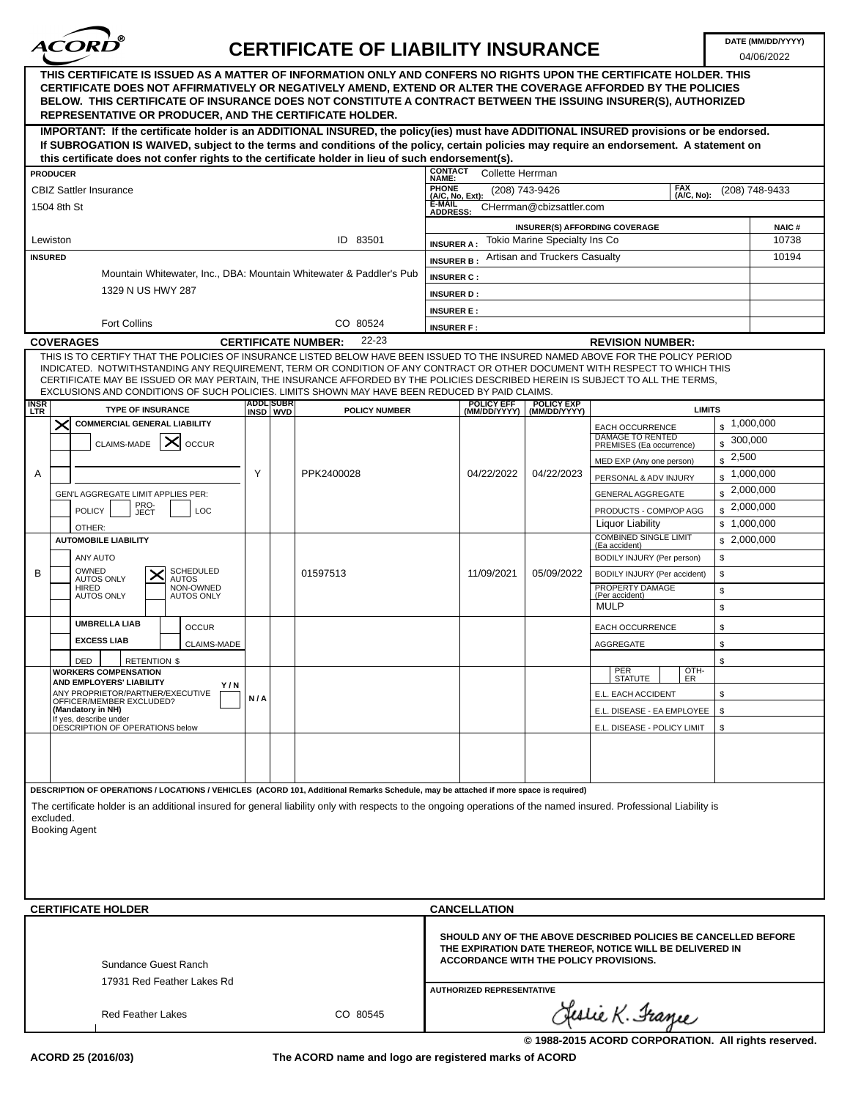

04/06/2022

| THIS CERTIFICATE IS ISSUED AS A MATTER OF INFORMATION ONLY AND CONFERS NO RIGHTS UPON THE CERTIFICATE HOLDER. THIS<br>CERTIFICATE DOES NOT AFFIRMATIVELY OR NEGATIVELY AMEND, EXTEND OR ALTER THE COVERAGE AFFORDED BY THE POLICIES<br>BELOW. THIS CERTIFICATE OF INSURANCE DOES NOT CONSTITUTE A CONTRACT BETWEEN THE ISSUING INSURER(S), AUTHORIZED<br><b>REPRESENTATIVE OR PRODUCER, AND THE CERTIFICATE HOLDER.</b>                                                                            |                         |                                     |                           |                                   |                                   |                                                                                                                                                                             |                                                 |                       |
|----------------------------------------------------------------------------------------------------------------------------------------------------------------------------------------------------------------------------------------------------------------------------------------------------------------------------------------------------------------------------------------------------------------------------------------------------------------------------------------------------|-------------------------|-------------------------------------|---------------------------|-----------------------------------|-----------------------------------|-----------------------------------------------------------------------------------------------------------------------------------------------------------------------------|-------------------------------------------------|-----------------------|
| IMPORTANT: If the certificate holder is an ADDITIONAL INSURED, the policy(ies) must have ADDITIONAL INSURED provisions or be endorsed.<br>If SUBROGATION IS WAIVED, subject to the terms and conditions of the policy, certain policies may require an endorsement. A statement on                                                                                                                                                                                                                 |                         |                                     |                           |                                   |                                   |                                                                                                                                                                             |                                                 |                       |
| this certificate does not confer rights to the certificate holder in lieu of such endorsement(s).                                                                                                                                                                                                                                                                                                                                                                                                  |                         |                                     |                           |                                   |                                   |                                                                                                                                                                             |                                                 |                       |
| <b>PRODUCER</b>                                                                                                                                                                                                                                                                                                                                                                                                                                                                                    |                         |                                     | <b>CONTACT</b><br>NAME:   | Collette Herrman                  |                                   |                                                                                                                                                                             |                                                 |                       |
| <b>CBIZ Sattler Insurance</b>                                                                                                                                                                                                                                                                                                                                                                                                                                                                      |                         |                                     | PHONE<br>(A/C, No, Ext):  |                                   | (208) 743-9426                    | <b>FAX</b><br>(A/C, No):                                                                                                                                                    |                                                 | (208) 748-9433        |
| 1504 8th St                                                                                                                                                                                                                                                                                                                                                                                                                                                                                        |                         |                                     | E-MAIL<br><b>ADDRESS:</b> |                                   | CHerrman@cbizsattler.com          |                                                                                                                                                                             |                                                 |                       |
| Lewiston                                                                                                                                                                                                                                                                                                                                                                                                                                                                                           |                         | ID 83501                            | <b>INSURER A:</b>         |                                   | Tokio Marine Specialty Ins Co     | <b>INSURER(S) AFFORDING COVERAGE</b>                                                                                                                                        |                                                 | <b>NAIC#</b><br>10738 |
| <b>INSURED</b>                                                                                                                                                                                                                                                                                                                                                                                                                                                                                     |                         |                                     | <b>INSURER B</b>          |                                   | Artisan and Truckers Casualty     |                                                                                                                                                                             |                                                 | 10194                 |
| Mountain Whitewater, Inc., DBA: Mountain Whitewater & Paddler's Pub                                                                                                                                                                                                                                                                                                                                                                                                                                |                         |                                     | <b>INSURER C:</b>         |                                   |                                   |                                                                                                                                                                             |                                                 |                       |
| 1329 N US HWY 287                                                                                                                                                                                                                                                                                                                                                                                                                                                                                  |                         |                                     | <b>INSURER D:</b>         |                                   |                                   |                                                                                                                                                                             |                                                 |                       |
|                                                                                                                                                                                                                                                                                                                                                                                                                                                                                                    |                         |                                     | <b>INSURER E:</b>         |                                   |                                   |                                                                                                                                                                             |                                                 |                       |
| <b>Fort Collins</b>                                                                                                                                                                                                                                                                                                                                                                                                                                                                                |                         | CO 80524                            | <b>INSURER F:</b>         |                                   |                                   |                                                                                                                                                                             |                                                 |                       |
| <b>COVERAGES</b>                                                                                                                                                                                                                                                                                                                                                                                                                                                                                   |                         | 22-23<br><b>CERTIFICATE NUMBER:</b> |                           |                                   |                                   | <b>REVISION NUMBER:</b>                                                                                                                                                     |                                                 |                       |
| THIS IS TO CERTIFY THAT THE POLICIES OF INSURANCE LISTED BELOW HAVE BEEN ISSUED TO THE INSURED NAMED ABOVE FOR THE POLICY PERIOD<br>INDICATED. NOTWITHSTANDING ANY REQUIREMENT, TERM OR CONDITION OF ANY CONTRACT OR OTHER DOCUMENT WITH RESPECT TO WHICH THIS<br>CERTIFICATE MAY BE ISSUED OR MAY PERTAIN, THE INSURANCE AFFORDED BY THE POLICIES DESCRIBED HEREIN IS SUBJECT TO ALL THE TERMS,<br>EXCLUSIONS AND CONDITIONS OF SUCH POLICIES. LIMITS SHOWN MAY HAVE BEEN REDUCED BY PAID CLAIMS. |                         |                                     |                           |                                   |                                   |                                                                                                                                                                             |                                                 |                       |
| <b>INSR</b><br><b>TYPE OF INSURANCE</b><br><b>LTR</b>                                                                                                                                                                                                                                                                                                                                                                                                                                              | ADDL SUBR<br>INSD   WVD | <b>POLICY NUMBER</b>                |                           | <b>POLICY EFF</b><br>(MM/DD/YYYY) | <b>POLICY EXP</b><br>(MM/DD/YYYY) |                                                                                                                                                                             | <b>LIMITS</b>                                   |                       |
| <b>COMMERCIAL GENERAL LIABILITY</b><br>$\times$                                                                                                                                                                                                                                                                                                                                                                                                                                                    |                         |                                     |                           |                                   |                                   | <b>EACH OCCURRENCE</b>                                                                                                                                                      | $\frac{1,000,000}{2}$                           |                       |
| ∣×<br>CLAIMS-MADE<br><b>OCCUR</b>                                                                                                                                                                                                                                                                                                                                                                                                                                                                  |                         |                                     |                           |                                   |                                   | <b>DAMAGE TO RENTED</b><br>PREMISES (Ea occurrence)                                                                                                                         | 300,000<br>$\mathbf{s}$                         |                       |
|                                                                                                                                                                                                                                                                                                                                                                                                                                                                                                    |                         |                                     |                           |                                   |                                   | MED EXP (Any one person)                                                                                                                                                    | $\sqrt{2,500}$                                  |                       |
| A                                                                                                                                                                                                                                                                                                                                                                                                                                                                                                  | Y                       | PPK2400028                          |                           | 04/22/2022                        | 04/22/2023                        | PERSONAL & ADV INJURY                                                                                                                                                       | $\frac{1,000,000}{2}$<br>$\frac{1}{2}$ ,000,000 |                       |
| GEN'L AGGREGATE LIMIT APPLIES PER:                                                                                                                                                                                                                                                                                                                                                                                                                                                                 |                         |                                     |                           |                                   |                                   | <b>GENERAL AGGREGATE</b>                                                                                                                                                    | $\frac{1}{2}$ ,000,000                          |                       |
| PRO-<br>JECT<br><b>POLICY</b><br>LOC                                                                                                                                                                                                                                                                                                                                                                                                                                                               |                         |                                     |                           |                                   |                                   | PRODUCTS - COMP/OP AGG<br><b>Liquor Liability</b>                                                                                                                           | \$1,000,000                                     |                       |
| OTHER:<br><b>AUTOMOBILE LIABILITY</b>                                                                                                                                                                                                                                                                                                                                                                                                                                                              |                         |                                     |                           |                                   |                                   | <b>COMBINED SINGLE LIMIT</b>                                                                                                                                                | \$2,000,000                                     |                       |
| ANY AUTO                                                                                                                                                                                                                                                                                                                                                                                                                                                                                           |                         |                                     |                           |                                   |                                   | (Ea accident)<br>BODILY INJURY (Per person)                                                                                                                                 | \$                                              |                       |
| OWNED<br><b>SCHEDULED</b><br>B                                                                                                                                                                                                                                                                                                                                                                                                                                                                     |                         | 01597513                            |                           | 11/09/2021                        | 05/09/2022                        | BODILY INJURY (Per accident)                                                                                                                                                | \$                                              |                       |
| <b>AUTOS ONLY</b><br><b>AUTOS</b><br>NON-OWNED<br>HIRED                                                                                                                                                                                                                                                                                                                                                                                                                                            |                         |                                     |                           |                                   |                                   | PROPERTY DAMAGE                                                                                                                                                             | \$                                              |                       |
| <b>AUTOS ONLY</b><br><b>AUTOS ONLY</b>                                                                                                                                                                                                                                                                                                                                                                                                                                                             |                         |                                     |                           |                                   |                                   | (Per accident)<br><b>MULP</b>                                                                                                                                               | \$                                              |                       |
| <b>UMBRELLA LIAB</b><br><b>OCCUR</b>                                                                                                                                                                                                                                                                                                                                                                                                                                                               |                         |                                     |                           |                                   |                                   | <b>EACH OCCURRENCE</b>                                                                                                                                                      | \$                                              |                       |
| <b>EXCESS LIAB</b><br>CLAIMS-MADE                                                                                                                                                                                                                                                                                                                                                                                                                                                                  |                         |                                     |                           |                                   |                                   | <b>AGGREGATE</b>                                                                                                                                                            | \$                                              |                       |
| <b>DED</b><br><b>RETENTION \$</b>                                                                                                                                                                                                                                                                                                                                                                                                                                                                  |                         |                                     |                           |                                   |                                   |                                                                                                                                                                             | \$                                              |                       |
| <b>WORKERS COMPENSATION</b><br>AND EMPLOYERS' LIABILITY                                                                                                                                                                                                                                                                                                                                                                                                                                            |                         |                                     |                           |                                   |                                   | PER<br>OTH-<br><b>STATUTE</b><br>ER                                                                                                                                         |                                                 |                       |
| Y/N<br>ANY PROPRIETOR/PARTNER/EXECUTIVE                                                                                                                                                                                                                                                                                                                                                                                                                                                            | N/A                     |                                     |                           |                                   |                                   | E.L. EACH ACCIDENT                                                                                                                                                          | \$                                              |                       |
| OFFICER/MEMBER EXCLUDED?<br>(Mandatory in NH)                                                                                                                                                                                                                                                                                                                                                                                                                                                      |                         |                                     |                           |                                   |                                   | E.L. DISEASE - EA EMPLOYEE                                                                                                                                                  | \$                                              |                       |
| If yes, describe under<br>DESCRIPTION OF OPERATIONS below                                                                                                                                                                                                                                                                                                                                                                                                                                          |                         |                                     |                           |                                   |                                   | E.L. DISEASE - POLICY LIMIT                                                                                                                                                 | \$                                              |                       |
|                                                                                                                                                                                                                                                                                                                                                                                                                                                                                                    |                         |                                     |                           |                                   |                                   |                                                                                                                                                                             |                                                 |                       |
|                                                                                                                                                                                                                                                                                                                                                                                                                                                                                                    |                         |                                     |                           |                                   |                                   |                                                                                                                                                                             |                                                 |                       |
| DESCRIPTION OF OPERATIONS / LOCATIONS / VEHICLES (ACORD 101, Additional Remarks Schedule, may be attached if more space is required)<br>The certificate holder is an additional insured for general liability only with respects to the ongoing operations of the named insured. Professional Liability is<br>excluded.<br><b>Booking Agent</b>                                                                                                                                                    |                         |                                     |                           |                                   |                                   |                                                                                                                                                                             |                                                 |                       |
| <b>CERTIFICATE HOLDER</b>                                                                                                                                                                                                                                                                                                                                                                                                                                                                          |                         |                                     |                           | <b>CANCELLATION</b>               |                                   |                                                                                                                                                                             |                                                 |                       |
| Sundance Guest Ranch<br>17931 Red Feather Lakes Rd                                                                                                                                                                                                                                                                                                                                                                                                                                                 |                         |                                     |                           | <b>AUTHORIZED REPRESENTATIVE</b>  |                                   | SHOULD ANY OF THE ABOVE DESCRIBED POLICIES BE CANCELLED BEFORE<br>THE EXPIRATION DATE THEREOF, NOTICE WILL BE DELIVERED IN<br><b>ACCORDANCE WITH THE POLICY PROVISIONS.</b> |                                                 |                       |
| <b>Red Feather Lakes</b>                                                                                                                                                                                                                                                                                                                                                                                                                                                                           |                         | CO 80545                            |                           |                                   |                                   | Geslie K. France                                                                                                                                                            |                                                 |                       |

**ACORD 25 (2016/03)**

**The ACORD name and logo are registered marks of ACORD**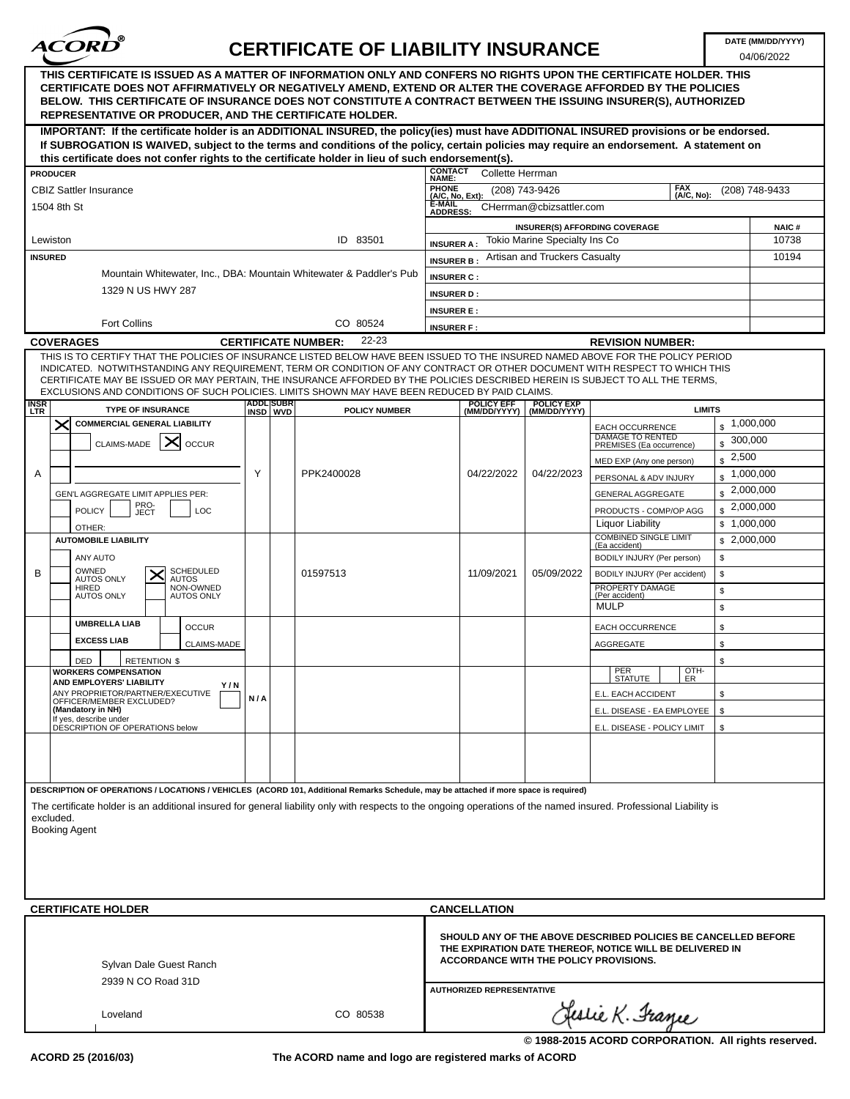

04/06/2022

| THIS CERTIFICATE IS ISSUED AS A MATTER OF INFORMATION ONLY AND CONFERS NO RIGHTS UPON THE CERTIFICATE HOLDER. THIS<br>CERTIFICATE DOES NOT AFFIRMATIVELY OR NEGATIVELY AMEND, EXTEND OR ALTER THE COVERAGE AFFORDED BY THE POLICIES<br>BELOW. THIS CERTIFICATE OF INSURANCE DOES NOT CONSTITUTE A CONTRACT BETWEEN THE ISSUING INSURER(S), AUTHORIZED<br><b>REPRESENTATIVE OR PRODUCER, AND THE CERTIFICATE HOLDER.</b>                                                                            |     |                         |                                     |                           |                                   |                                   |                                                                                                                                                                      |                         |                       |
|----------------------------------------------------------------------------------------------------------------------------------------------------------------------------------------------------------------------------------------------------------------------------------------------------------------------------------------------------------------------------------------------------------------------------------------------------------------------------------------------------|-----|-------------------------|-------------------------------------|---------------------------|-----------------------------------|-----------------------------------|----------------------------------------------------------------------------------------------------------------------------------------------------------------------|-------------------------|-----------------------|
| IMPORTANT: If the certificate holder is an ADDITIONAL INSURED, the policy(ies) must have ADDITIONAL INSURED provisions or be endorsed.<br>If SUBROGATION IS WAIVED, subject to the terms and conditions of the policy, certain policies may require an endorsement. A statement on                                                                                                                                                                                                                 |     |                         |                                     |                           |                                   |                                   |                                                                                                                                                                      |                         |                       |
| this certificate does not confer rights to the certificate holder in lieu of such endorsement(s).                                                                                                                                                                                                                                                                                                                                                                                                  |     |                         |                                     |                           |                                   |                                   |                                                                                                                                                                      |                         |                       |
| <b>PRODUCER</b>                                                                                                                                                                                                                                                                                                                                                                                                                                                                                    |     |                         |                                     | <b>CONTACT</b><br>NAME:   | Collette Herrman                  |                                   |                                                                                                                                                                      |                         |                       |
| <b>CBIZ Sattler Insurance</b>                                                                                                                                                                                                                                                                                                                                                                                                                                                                      |     |                         |                                     | PHONE<br>(A/C, No, Ext):  |                                   | (208) 743-9426                    | <b>FAX</b><br>(A/C, No):                                                                                                                                             |                         | (208) 748-9433        |
| 1504 8th St                                                                                                                                                                                                                                                                                                                                                                                                                                                                                        |     |                         |                                     | E-MAIL<br><b>ADDRESS:</b> |                                   | CHerrman@cbizsattler.com          |                                                                                                                                                                      |                         |                       |
| Lewiston                                                                                                                                                                                                                                                                                                                                                                                                                                                                                           |     |                         | ID 83501                            | <b>INSURER A:</b>         |                                   | Tokio Marine Specialty Ins Co     | <b>INSURER(S) AFFORDING COVERAGE</b>                                                                                                                                 |                         | <b>NAIC#</b><br>10738 |
| <b>INSURED</b>                                                                                                                                                                                                                                                                                                                                                                                                                                                                                     |     |                         |                                     | <b>INSURER B</b>          |                                   | Artisan and Truckers Casualty     |                                                                                                                                                                      |                         | 10194                 |
| Mountain Whitewater, Inc., DBA: Mountain Whitewater & Paddler's Pub                                                                                                                                                                                                                                                                                                                                                                                                                                |     |                         |                                     |                           |                                   |                                   |                                                                                                                                                                      |                         |                       |
| 1329 N US HWY 287                                                                                                                                                                                                                                                                                                                                                                                                                                                                                  |     |                         |                                     | <b>INSURER C:</b>         |                                   |                                   |                                                                                                                                                                      |                         |                       |
|                                                                                                                                                                                                                                                                                                                                                                                                                                                                                                    |     |                         |                                     | <b>INSURER D:</b>         |                                   |                                   |                                                                                                                                                                      |                         |                       |
|                                                                                                                                                                                                                                                                                                                                                                                                                                                                                                    |     |                         |                                     | <b>INSURER E:</b>         |                                   |                                   |                                                                                                                                                                      |                         |                       |
| <b>Fort Collins</b>                                                                                                                                                                                                                                                                                                                                                                                                                                                                                |     |                         | CO 80524                            | <b>INSURER F:</b>         |                                   |                                   |                                                                                                                                                                      |                         |                       |
| <b>COVERAGES</b>                                                                                                                                                                                                                                                                                                                                                                                                                                                                                   |     |                         | 22-23<br><b>CERTIFICATE NUMBER:</b> |                           |                                   |                                   | <b>REVISION NUMBER:</b>                                                                                                                                              |                         |                       |
| THIS IS TO CERTIFY THAT THE POLICIES OF INSURANCE LISTED BELOW HAVE BEEN ISSUED TO THE INSURED NAMED ABOVE FOR THE POLICY PERIOD<br>INDICATED. NOTWITHSTANDING ANY REQUIREMENT, TERM OR CONDITION OF ANY CONTRACT OR OTHER DOCUMENT WITH RESPECT TO WHICH THIS<br>CERTIFICATE MAY BE ISSUED OR MAY PERTAIN, THE INSURANCE AFFORDED BY THE POLICIES DESCRIBED HEREIN IS SUBJECT TO ALL THE TERMS,<br>EXCLUSIONS AND CONDITIONS OF SUCH POLICIES. LIMITS SHOWN MAY HAVE BEEN REDUCED BY PAID CLAIMS. |     |                         |                                     |                           |                                   |                                   |                                                                                                                                                                      |                         |                       |
| <b>INSR</b><br><b>TYPE OF INSURANCE</b><br><b>LTR</b>                                                                                                                                                                                                                                                                                                                                                                                                                                              |     | ADDL SUBR<br>INSD   WVD | <b>POLICY NUMBER</b>                |                           | <b>POLICY EFF</b><br>(MM/DD/YYYY) | <b>POLICY EXP</b><br>(MM/DD/YYYY) | <b>LIMITS</b>                                                                                                                                                        |                         |                       |
| <b>COMMERCIAL GENERAL LIABILITY</b><br>$\times$                                                                                                                                                                                                                                                                                                                                                                                                                                                    |     |                         |                                     |                           |                                   |                                   | <b>EACH OCCURRENCE</b>                                                                                                                                               | $\frac{1,000,000}{2}$   |                       |
| ∣×<br>CLAIMS-MADE<br><b>OCCUR</b>                                                                                                                                                                                                                                                                                                                                                                                                                                                                  |     |                         |                                     |                           |                                   |                                   | <b>DAMAGE TO RENTED</b><br>PREMISES (Ea occurrence)                                                                                                                  | 300,000<br>$\mathbf{s}$ |                       |
|                                                                                                                                                                                                                                                                                                                                                                                                                                                                                                    |     |                         |                                     |                           |                                   |                                   | MED EXP (Any one person)                                                                                                                                             | $\sqrt{2,500}$          |                       |
| A                                                                                                                                                                                                                                                                                                                                                                                                                                                                                                  | Y   |                         | PPK2400028                          |                           | 04/22/2022                        | 04/22/2023                        | PERSONAL & ADV INJURY                                                                                                                                                | $\frac{1,000,000}{2}$   |                       |
|                                                                                                                                                                                                                                                                                                                                                                                                                                                                                                    |     |                         |                                     |                           |                                   |                                   |                                                                                                                                                                      | $\frac{1}{2}$ ,000,000  |                       |
| GEN'L AGGREGATE LIMIT APPLIES PER:                                                                                                                                                                                                                                                                                                                                                                                                                                                                 |     |                         |                                     |                           |                                   |                                   | <b>GENERAL AGGREGATE</b>                                                                                                                                             | $\frac{1}{2}$ ,000,000  |                       |
| PRO-<br>JECT<br><b>POLICY</b><br>LOC                                                                                                                                                                                                                                                                                                                                                                                                                                                               |     |                         |                                     |                           |                                   |                                   | PRODUCTS - COMP/OP AGG                                                                                                                                               |                         |                       |
| OTHER:                                                                                                                                                                                                                                                                                                                                                                                                                                                                                             |     |                         |                                     |                           |                                   |                                   | <b>Liquor Liability</b><br><b>COMBINED SINGLE LIMIT</b>                                                                                                              | \$1,000,000             |                       |
| <b>AUTOMOBILE LIABILITY</b>                                                                                                                                                                                                                                                                                                                                                                                                                                                                        |     |                         |                                     |                           |                                   |                                   | (Ea accident)                                                                                                                                                        | \$2,000,000             |                       |
| ANY AUTO                                                                                                                                                                                                                                                                                                                                                                                                                                                                                           |     |                         |                                     |                           |                                   |                                   | BODILY INJURY (Per person)                                                                                                                                           | \$                      |                       |
| OWNED<br><b>SCHEDULED</b><br>B<br><b>AUTOS ONLY</b><br><b>AUTOS</b>                                                                                                                                                                                                                                                                                                                                                                                                                                |     |                         | 01597513                            |                           | 11/09/2021                        | 05/09/2022                        | BODILY INJURY (Per accident)                                                                                                                                         | \$                      |                       |
| NON-OWNED<br>HIRED<br><b>AUTOS ONLY</b><br><b>AUTOS ONLY</b>                                                                                                                                                                                                                                                                                                                                                                                                                                       |     |                         |                                     |                           |                                   |                                   | PROPERTY DAMAGE<br>(Per accident)                                                                                                                                    | \$                      |                       |
|                                                                                                                                                                                                                                                                                                                                                                                                                                                                                                    |     |                         |                                     |                           |                                   |                                   | <b>MULP</b>                                                                                                                                                          | \$                      |                       |
| <b>UMBRELLA LIAB</b><br><b>OCCUR</b>                                                                                                                                                                                                                                                                                                                                                                                                                                                               |     |                         |                                     |                           |                                   |                                   | <b>EACH OCCURRENCE</b>                                                                                                                                               | \$                      |                       |
| <b>EXCESS LIAB</b><br>CLAIMS-MADE                                                                                                                                                                                                                                                                                                                                                                                                                                                                  |     |                         |                                     |                           |                                   |                                   | <b>AGGREGATE</b>                                                                                                                                                     | \$                      |                       |
| <b>DED</b><br><b>RETENTION \$</b>                                                                                                                                                                                                                                                                                                                                                                                                                                                                  |     |                         |                                     |                           |                                   |                                   |                                                                                                                                                                      | \$                      |                       |
| <b>WORKERS COMPENSATION</b>                                                                                                                                                                                                                                                                                                                                                                                                                                                                        |     |                         |                                     |                           |                                   |                                   | PER<br>OTH-                                                                                                                                                          |                         |                       |
| AND EMPLOYERS' LIABILITY<br>Y/N<br>ANY PROPRIETOR/PARTNER/EXECUTIVE                                                                                                                                                                                                                                                                                                                                                                                                                                |     |                         |                                     |                           |                                   |                                   | <b>STATUTE</b><br>ER                                                                                                                                                 |                         |                       |
| OFFICER/MEMBER EXCLUDED?<br>(Mandatory in NH)                                                                                                                                                                                                                                                                                                                                                                                                                                                      | N/A |                         |                                     |                           |                                   |                                   | E.L. EACH ACCIDENT                                                                                                                                                   | \$                      |                       |
| If yes, describe under                                                                                                                                                                                                                                                                                                                                                                                                                                                                             |     |                         |                                     |                           |                                   |                                   | E.L. DISEASE - EA EMPLOYEE                                                                                                                                           | \$                      |                       |
| DESCRIPTION OF OPERATIONS below                                                                                                                                                                                                                                                                                                                                                                                                                                                                    |     |                         |                                     |                           |                                   |                                   | E.L. DISEASE - POLICY LIMIT                                                                                                                                          | \$                      |                       |
|                                                                                                                                                                                                                                                                                                                                                                                                                                                                                                    |     |                         |                                     |                           |                                   |                                   |                                                                                                                                                                      |                         |                       |
|                                                                                                                                                                                                                                                                                                                                                                                                                                                                                                    |     |                         |                                     |                           |                                   |                                   |                                                                                                                                                                      |                         |                       |
| DESCRIPTION OF OPERATIONS / LOCATIONS / VEHICLES (ACORD 101, Additional Remarks Schedule, may be attached if more space is required)                                                                                                                                                                                                                                                                                                                                                               |     |                         |                                     |                           |                                   |                                   |                                                                                                                                                                      |                         |                       |
| The certificate holder is an additional insured for general liability only with respects to the ongoing operations of the named insured. Professional Liability is                                                                                                                                                                                                                                                                                                                                 |     |                         |                                     |                           |                                   |                                   |                                                                                                                                                                      |                         |                       |
| excluded.                                                                                                                                                                                                                                                                                                                                                                                                                                                                                          |     |                         |                                     |                           |                                   |                                   |                                                                                                                                                                      |                         |                       |
| <b>Booking Agent</b>                                                                                                                                                                                                                                                                                                                                                                                                                                                                               |     |                         |                                     |                           |                                   |                                   |                                                                                                                                                                      |                         |                       |
|                                                                                                                                                                                                                                                                                                                                                                                                                                                                                                    |     |                         |                                     |                           |                                   |                                   |                                                                                                                                                                      |                         |                       |
|                                                                                                                                                                                                                                                                                                                                                                                                                                                                                                    |     |                         |                                     |                           |                                   |                                   |                                                                                                                                                                      |                         |                       |
|                                                                                                                                                                                                                                                                                                                                                                                                                                                                                                    |     |                         |                                     |                           |                                   |                                   |                                                                                                                                                                      |                         |                       |
| <b>CERTIFICATE HOLDER</b>                                                                                                                                                                                                                                                                                                                                                                                                                                                                          |     |                         |                                     |                           | <b>CANCELLATION</b>               |                                   |                                                                                                                                                                      |                         |                       |
|                                                                                                                                                                                                                                                                                                                                                                                                                                                                                                    |     |                         |                                     |                           |                                   |                                   |                                                                                                                                                                      |                         |                       |
| Sylvan Dale Guest Ranch<br>2939 N CO Road 31D                                                                                                                                                                                                                                                                                                                                                                                                                                                      |     |                         |                                     |                           |                                   |                                   | SHOULD ANY OF THE ABOVE DESCRIBED POLICIES BE CANCELLED BEFORE<br>THE EXPIRATION DATE THEREOF, NOTICE WILL BE DELIVERED IN<br>ACCORDANCE WITH THE POLICY PROVISIONS. |                         |                       |
|                                                                                                                                                                                                                                                                                                                                                                                                                                                                                                    |     |                         |                                     |                           | <b>AUTHORIZED REPRESENTATIVE</b>  |                                   |                                                                                                                                                                      |                         |                       |
| Loveland                                                                                                                                                                                                                                                                                                                                                                                                                                                                                           |     |                         | CO 80538                            |                           |                                   |                                   | Clestie K. France                                                                                                                                                    |                         |                       |

**The ACORD name and logo are registered marks of ACORD**